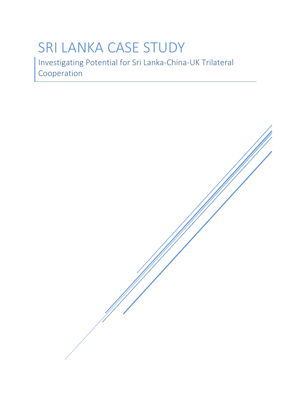# SRI LANKA CASE STUDY

Investigating Potential for Sri Lanka-China-UK Trilateral Cooperation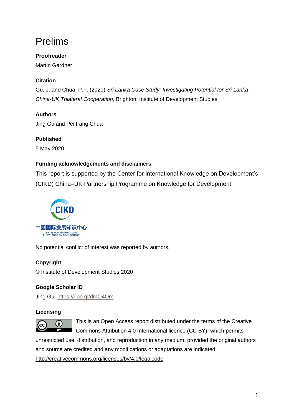# <span id="page-1-0"></span>Prelims

## **Proofreader**

Martin Gardner

## **Citation**

Gu, J. and Chua, P.F. (2020) *Sri Lanka Case Study: Investigating Potential for Sri Lanka-China-UK Trilateral Cooperation*, Brighton: Institute of Development Studies

## **Authors**

Jing Gu and Pei Fang Chua

## **Published**

5 May 2020

### **Funding acknowledgements and disclaimers**

This report is supported by the Center for International Knowledge on Development's (CIKD) China–UK Partnership Programme on Knowledge for Development.



No potential conflict of interest was reported by authors.

## **Copyright**

© Institute of Development Studies 2020

## **Google Scholar ID**

Jing Gu: <https://goo.gl/dmO4Qm>

### **Licensing**



This is an Open Access report distributed under the terms of the Creative Commons Attribution 4.0 International licence (CC BY), which permits

unrestricted use, distribution, and reproduction in any medium, provided the original authors and source are credited and any modifications or adaptations are indicated. <http://creativecommons.org/licenses/by/4.0/legalcode>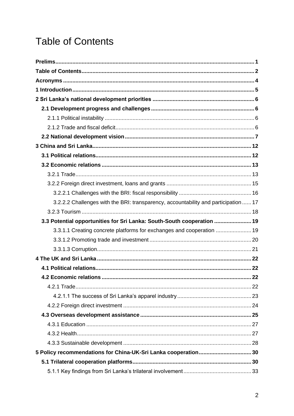# <span id="page-2-0"></span>**Table of Contents**

| 3.2.2.2 Challenges with the BRI: transparency, accountability and participation  17 |  |
|-------------------------------------------------------------------------------------|--|
|                                                                                     |  |
| 3.3 Potential opportunities for Sri Lanka: South-South cooperation  19              |  |
| 3.3.1.1 Creating concrete platforms for exchanges and cooperation  19               |  |
|                                                                                     |  |
|                                                                                     |  |
|                                                                                     |  |
|                                                                                     |  |
|                                                                                     |  |
|                                                                                     |  |
|                                                                                     |  |
|                                                                                     |  |
|                                                                                     |  |
|                                                                                     |  |
|                                                                                     |  |
|                                                                                     |  |
| 5 Policy recommendations for China-UK-Sri Lanka cooperation 30                      |  |
|                                                                                     |  |
|                                                                                     |  |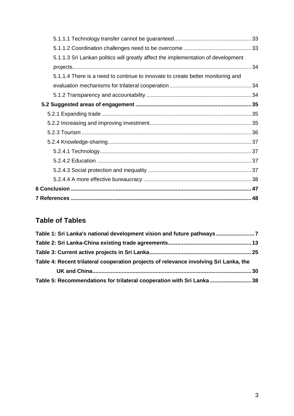| 5.1.1.3 Sri Lankan politics will greatly affect the implementation of development |  |
|-----------------------------------------------------------------------------------|--|
|                                                                                   |  |
| 5.1.1.4 There is a need to continue to innovate to create better monitoring and   |  |
|                                                                                   |  |
|                                                                                   |  |
|                                                                                   |  |
|                                                                                   |  |
|                                                                                   |  |
|                                                                                   |  |
|                                                                                   |  |
|                                                                                   |  |
|                                                                                   |  |
|                                                                                   |  |
|                                                                                   |  |
|                                                                                   |  |
|                                                                                   |  |

# **Table of Tables**

| Table 1: Sri Lanka's national development vision and future pathways                  |  |
|---------------------------------------------------------------------------------------|--|
|                                                                                       |  |
|                                                                                       |  |
| Table 4: Recent trilateral cooperation projects of relevance involving Sri Lanka, the |  |
|                                                                                       |  |
| Table 5: Recommendations for trilateral cooperation with Sri Lanka 38                 |  |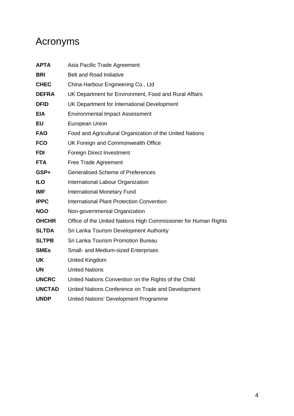# <span id="page-4-0"></span>Acronyms

| <b>APTA</b>   | Asia Pacific Trade Agreement                                    |
|---------------|-----------------------------------------------------------------|
| <b>BRI</b>    | <b>Belt and Road Initiative</b>                                 |
| <b>CHEC</b>   | China Harbour Engineering Co., Ltd                              |
| <b>DEFRA</b>  | UK Department for Environment, Food and Rural Affairs           |
| <b>DFID</b>   | UK Department for International Development                     |
| <b>EIA</b>    | <b>Environmental Impact Assessment</b>                          |
| <b>EU</b>     | European Union                                                  |
| <b>FAO</b>    | Food and Agricultural Organization of the United Nations        |
| <b>FCO</b>    | UK Foreign and Commonwealth Office                              |
| <b>FDI</b>    | Foreign Direct Investment                                       |
| <b>FTA</b>    | Free Trade Agreement                                            |
| GSP+          | <b>Generalised Scheme of Preferences</b>                        |
| <b>ILO</b>    | International Labour Organization                               |
| <b>IMF</b>    | <b>International Monetary Fund</b>                              |
| <b>IPPC</b>   | <b>International Plant Protection Convention</b>                |
| <b>NGO</b>    | Non-governmental Organization                                   |
| <b>OHCHR</b>  | Office of the United Nations High Commissioner for Human Rights |
| <b>SLTDA</b>  | Sri Lanka Tourism Development Authority                         |
| <b>SLTPB</b>  | Sri Lanka Tourism Promotion Bureau                              |
| <b>SMEs</b>   | Small- and Medium-sized Enterprises                             |
| <b>UK</b>     | United Kingdom                                                  |
| <b>UN</b>     | <b>United Nations</b>                                           |
| <b>UNCRC</b>  | United Nations Convention on the Rights of the Child            |
| <b>UNCTAD</b> | United Nations Conference on Trade and Development              |
| <b>UNDP</b>   | United Nations' Development Programme                           |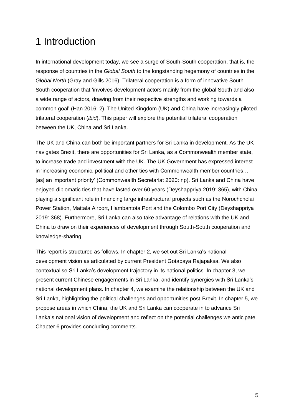# <span id="page-5-0"></span>1 Introduction

In international development today, we see a surge of South-South cooperation, that is, the response of countries in the *Global South* to the longstanding hegemony of countries in the *Global North* (Gray and Gills 2016). Trilateral cooperation is a form of innovative South-South cooperation that 'involves development actors mainly from the global South and also a wide range of actors, drawing from their respective strengths and working towards a common goal' (Han 2016: 2). The United Kingdom (UK) and China have increasingly piloted trilateral cooperation (*ibid*). This paper will explore the potential trilateral cooperation between the UK, China and Sri Lanka.

The UK and China can both be important partners for Sri Lanka in development. As the UK navigates Brexit, there are opportunities for Sri Lanka, as a Commonwealth member state, to increase trade and investment with the UK. The UK Government has expressed interest in 'increasing economic, political and other ties with Commonwealth member countries… [as] an important priority' (Commonwealth Secretariat 2020: np). Sri Lanka and China have enjoyed diplomatic ties that have lasted over 60 years (Deyshappriya 2019: 365), with China playing a significant role in financing large infrastructural projects such as the Norochcholai Power Station, Mattala Airport, Hambantota Port and the Colombo Port City (Deyshappriya 2019: 368). Furthermore, Sri Lanka can also take advantage of relations with the UK and China to draw on their experiences of development through South-South cooperation and knowledge-sharing.

This report is structured as follows. In chapter 2, we set out Sri Lanka's national development vision as articulated by current President Gotabaya Rajapaksa. We also contextualise Sri Lanka's development trajectory in its national politics. In chapter 3, we present current Chinese engagements in Sri Lanka, and identify synergies with Sri Lanka's national development plans. In chapter 4, we examine the relationship between the UK and Sri Lanka, highlighting the political challenges and opportunities post-Brexit. In chapter 5, we propose areas in which China, the UK and Sri Lanka can cooperate in to advance Sri Lanka's national vision of development and reflect on the potential challenges we anticipate. Chapter 6 provides concluding comments.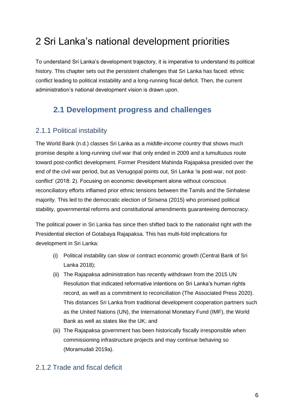# <span id="page-6-0"></span>2 Sri Lanka's national development priorities

To understand Sri Lanka's development trajectory, it is imperative to understand its political history. This chapter sets out the persistent challenges that Sri Lanka has faced: ethnic conflict leading to political instability and a long-running fiscal deficit. Then, the current administration's national development vision is drawn upon.

# <span id="page-6-1"></span>**2.1 Development progress and challenges**

## <span id="page-6-2"></span>2.1.1 Political instability

The World Bank (n.d.) classes Sri Lanka as a *middle-income country* that shows much promise despite a long-running civil war that only ended in 2009 and a tumultuous route toward post-conflict development. Former President Mahinda Rajapaksa presided over the end of the civil war period, but as Venugopal points out, Sri Lanka 'is post-war, not postconflict' (2018: 2). Focusing on economic development alone without conscious reconciliatory efforts inflamed prior ethnic tensions between the Tamils and the Sinhalese majority. This led to the democratic election of Sirisena (2015) who promised political stability, governmental reforms and constitutional amendments guaranteeing democracy.

The political power in Sri Lanka has since then shifted back to the nationalist right with the Presidential election of Gotabaya Rajapaksa. This has multi-fold implications for development in Sri Lanka:

- (i) Political instability can slow or contract economic growth (Central Bank of Sri Lanka 2018);
- (ii) The Rajapaksa administration has recently withdrawn from the 2015 UN Resolution that indicated reformative intentions on Sri Lanka's human rights record, as well as a commitment to reconciliation (The Associated Press 2020). This distances Sri Lanka from traditional development cooperation partners such as the United Nations (UN), the International Monetary Fund (IMF), the World Bank as well as states like the UK; and
- (iii) The Rajapaksa government has been historically fiscally irresponsible when commissioning infrastructure projects and may continue behaving so (Moramudali 2019a).

## <span id="page-6-3"></span>2.1.2 Trade and fiscal deficit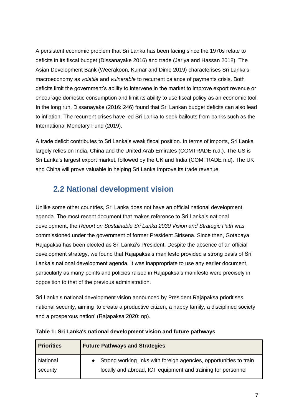A persistent economic problem that Sri Lanka has been facing since the 1970s relate to deficits in its fiscal budget (Dissanayake 2016) and trade (Jariya and Hassan 2018). The Asian Development Bank (Weerakoon, Kumar and Dime 2019) characterises Sri Lanka's macroeconomy as *volatile* and *vulnerable* to recurrent balance of payments crisis. Both deficits limit the government's ability to intervene in the market to improve export revenue or encourage domestic consumption and limit its ability to use fiscal policy as an economic tool. In the long run, Dissanayake (2016: 246) found that Sri Lankan budget deficits can also lead to inflation. The recurrent crises have led Sri Lanka to seek bailouts from banks such as the International Monetary Fund (2019).

A trade deficit contributes to Sri Lanka's weak fiscal position. In terms of imports, Sri Lanka largely relies on India, China and the United Arab Emirates (COMTRADE n.d.). The US is Sri Lanka's largest export market, followed by the UK and India (COMTRADE n.d). The UK and China will prove valuable in helping Sri Lanka improve its trade revenue.

# <span id="page-7-0"></span>**2.2 National development vision**

Unlike some other countries, Sri Lanka does not have an official national development agenda. The most recent document that makes reference to Sri Lanka's national development, the *Report on Sustainable Sri Lanka 2030 Vision and Strategic Path* was commissioned under the government of former President Sirisena. Since then, Gotabaya Rajapaksa has been elected as Sri Lanka's President. Despite the absence of an official development strategy, we found that Rajapaksa's manifesto provided a strong basis of Sri Lanka's national development agenda. It was inappropriate to use any earlier document, particularly as many points and policies raised in Rajapaksa's manifesto were precisely in opposition to that of the previous administration.

Sri Lanka's national development vision announced by President Rajapaksa prioritises national security, aiming 'to create a productive citizen, a happy family, a disciplined society and a prosperous nation' (Rajapaksa 2020: np).

| <b>Priorities</b> | <b>Future Pathways and Strategies</b>                              |  |
|-------------------|--------------------------------------------------------------------|--|
| National          | Strong working links with foreign agencies, opportunities to train |  |
| security          | locally and abroad, ICT equipment and training for personnel       |  |

|  | Table 1: Sri Lanka's national development vision and future pathways |
|--|----------------------------------------------------------------------|
|--|----------------------------------------------------------------------|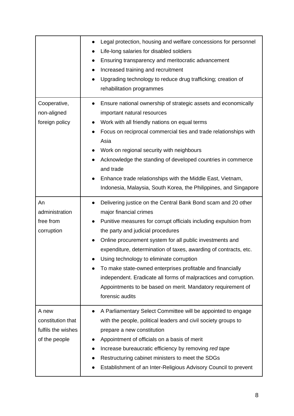|                                                                   | Legal protection, housing and welfare concessions for personnel<br>Life-long salaries for disabled soldiers<br>Ensuring transparency and meritocratic advancement<br>Increased training and recruitment<br>Upgrading technology to reduce drug trafficking; creation of<br>$\bullet$<br>rehabilitation programmes                                                                                                                                                                                                                                                                                             |
|-------------------------------------------------------------------|---------------------------------------------------------------------------------------------------------------------------------------------------------------------------------------------------------------------------------------------------------------------------------------------------------------------------------------------------------------------------------------------------------------------------------------------------------------------------------------------------------------------------------------------------------------------------------------------------------------|
| Cooperative,<br>non-aligned<br>foreign policy                     | Ensure national ownership of strategic assets and economically<br>important natural resources<br>Work with all friendly nations on equal terms<br>Focus on reciprocal commercial ties and trade relationships with<br>Asia<br>Work on regional security with neighbours<br>Acknowledge the standing of developed countries in commerce<br>and trade<br>Enhance trade relationships with the Middle East, Vietnam,<br>Indonesia, Malaysia, South Korea, the Philippines, and Singapore                                                                                                                         |
| An<br>administration<br>free from<br>corruption                   | Delivering justice on the Central Bank Bond scam and 20 other<br>$\bullet$<br>major financial crimes<br>Punitive measures for corrupt officials including expulsion from<br>the party and judicial procedures<br>Online procurement system for all public investments and<br>expenditure, determination of taxes, awarding of contracts, etc.<br>Using technology to eliminate corruption<br>To make state-owned enterprises profitable and financially<br>independent. Eradicate all forms of malpractices and corruption.<br>Appointments to be based on merit. Mandatory requirement of<br>forensic audits |
| A new<br>constitution that<br>fulfils the wishes<br>of the people | A Parliamentary Select Committee will be appointed to engage<br>with the people, political leaders and civil society groups to<br>prepare a new constitution<br>Appointment of officials on a basis of merit<br>Increase bureaucratic efficiency by removing red tape<br>Restructuring cabinet ministers to meet the SDGs<br>Establishment of an Inter-Religious Advisory Council to prevent                                                                                                                                                                                                                  |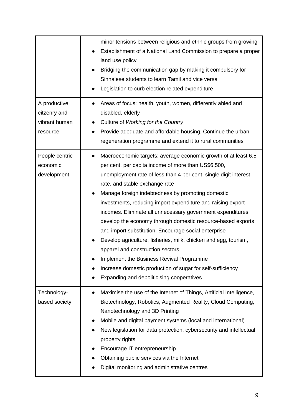|                                                           | minor tensions between religious and ethnic groups from growing<br>Establishment of a National Land Commission to prepare a proper<br>land use policy<br>Bridging the communication gap by making it compulsory for<br>Sinhalese students to learn Tamil and vice versa<br>Legislation to curb election related expenditure                                                                                                                                                                                                                                                                                                                                                                                                                                                                                      |
|-----------------------------------------------------------|------------------------------------------------------------------------------------------------------------------------------------------------------------------------------------------------------------------------------------------------------------------------------------------------------------------------------------------------------------------------------------------------------------------------------------------------------------------------------------------------------------------------------------------------------------------------------------------------------------------------------------------------------------------------------------------------------------------------------------------------------------------------------------------------------------------|
| A productive<br>citzenry and<br>vibrant human<br>resource | Areas of focus: health, youth, women, differently abled and<br>disabled, elderly<br>Culture of Working for the Country<br>Provide adequate and affordable housing. Continue the urban<br>$\bullet$<br>regeneration programme and extend it to rural communities                                                                                                                                                                                                                                                                                                                                                                                                                                                                                                                                                  |
| People centric<br>economic<br>development                 | Macroeconomic targets: average economic growth of at least 6.5<br>$\bullet$<br>per cent, per capita income of more than US\$6,500,<br>unemployment rate of less than 4 per cent, single digit interest<br>rate, and stable exchange rate<br>Manage foreign indebtedness by promoting domestic<br>investments, reducing import expenditure and raising export<br>incomes. Eliminate all unnecessary government expenditures,<br>develop the economy through domestic resource-based exports<br>and import substitution. Encourage social enterprise<br>Develop agriculture, fisheries, milk, chicken and egg, tourism,<br>apparel and construction sectors<br>Implement the Business Revival Programme<br>Increase domestic production of sugar for self-sufficiency<br>Expanding and depoliticising cooperatives |
| Technology-<br>based society                              | Maximise the use of the Internet of Things, Artificial Intelligence,<br>Biotechnology, Robotics, Augmented Reality, Cloud Computing,<br>Nanotechnology and 3D Printing<br>Mobile and digital payment systems (local and international)<br>New legislation for data protection, cybersecurity and intellectual<br>property rights<br>Encourage IT entrepreneurship<br>Obtaining public services via the Internet<br>Digital monitoring and administrative centres                                                                                                                                                                                                                                                                                                                                                 |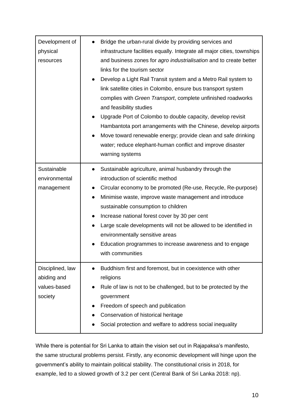| Development of   | Bridge the urban-rural divide by providing services and                                                                                                                                                                                                                                                                                                                                                                                                                                                                                                                                                              |
|------------------|----------------------------------------------------------------------------------------------------------------------------------------------------------------------------------------------------------------------------------------------------------------------------------------------------------------------------------------------------------------------------------------------------------------------------------------------------------------------------------------------------------------------------------------------------------------------------------------------------------------------|
| physical         | infrastructure facilities equally. Integrate all major cities, townships                                                                                                                                                                                                                                                                                                                                                                                                                                                                                                                                             |
| resources        | and business zones for agro industrialisation and to create better<br>links for the tourism sector<br>Develop a Light Rail Transit system and a Metro Rail system to<br>link satellite cities in Colombo, ensure bus transport system<br>complies with Green Transport, complete unfinished roadworks<br>and feasibility studies<br>Upgrade Port of Colombo to double capacity, develop revisit<br>Hambantota port arrangements with the Chinese, develop airports<br>Move toward renewable energy; provide clean and safe drinking<br>water; reduce elephant-human conflict and improve disaster<br>warning systems |
| Sustainable      | Sustainable agriculture, animal husbandry through the                                                                                                                                                                                                                                                                                                                                                                                                                                                                                                                                                                |
| environmental    | introduction of scientific method                                                                                                                                                                                                                                                                                                                                                                                                                                                                                                                                                                                    |
| management       | Circular economy to be promoted (Re-use, Recycle, Re-purpose)                                                                                                                                                                                                                                                                                                                                                                                                                                                                                                                                                        |
|                  | Minimise waste, improve waste management and introduce<br>$\bullet$                                                                                                                                                                                                                                                                                                                                                                                                                                                                                                                                                  |
|                  | sustainable consumption to children                                                                                                                                                                                                                                                                                                                                                                                                                                                                                                                                                                                  |
|                  | Increase national forest cover by 30 per cent<br>$\bullet$                                                                                                                                                                                                                                                                                                                                                                                                                                                                                                                                                           |
|                  | Large scale developments will not be allowed to be identified in                                                                                                                                                                                                                                                                                                                                                                                                                                                                                                                                                     |
|                  | environmentally sensitive areas                                                                                                                                                                                                                                                                                                                                                                                                                                                                                                                                                                                      |
|                  | Education programmes to increase awareness and to engage                                                                                                                                                                                                                                                                                                                                                                                                                                                                                                                                                             |
|                  | with communities                                                                                                                                                                                                                                                                                                                                                                                                                                                                                                                                                                                                     |
| Disciplined, law | Buddhism first and foremost, but in coexistence with other                                                                                                                                                                                                                                                                                                                                                                                                                                                                                                                                                           |
| abiding and      | religions                                                                                                                                                                                                                                                                                                                                                                                                                                                                                                                                                                                                            |
| values-based     | Rule of law is not to be challenged, but to be protected by the                                                                                                                                                                                                                                                                                                                                                                                                                                                                                                                                                      |
| society          | government                                                                                                                                                                                                                                                                                                                                                                                                                                                                                                                                                                                                           |
|                  | Freedom of speech and publication                                                                                                                                                                                                                                                                                                                                                                                                                                                                                                                                                                                    |
|                  | Conservation of historical heritage                                                                                                                                                                                                                                                                                                                                                                                                                                                                                                                                                                                  |
|                  | Social protection and welfare to address social inequality                                                                                                                                                                                                                                                                                                                                                                                                                                                                                                                                                           |

While there is potential for Sri Lanka to attain the vision set out in Rajapaksa's manifesto, the same structural problems persist. Firstly, any economic development will hinge upon the government's ability to maintain political stability. The constitutional crisis in 2018, for example, led to a slowed growth of 3.2 per cent (Central Bank of Sri Lanka 2018: np).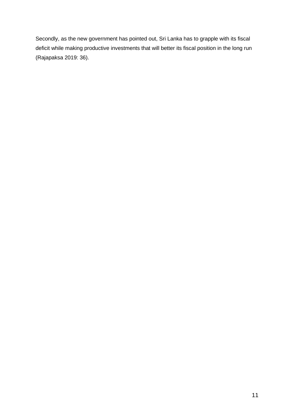Secondly, as the new government has pointed out, Sri Lanka has to grapple with its fiscal deficit while making productive investments that will better its fiscal position in the long run (Rajapaksa 2019: 36).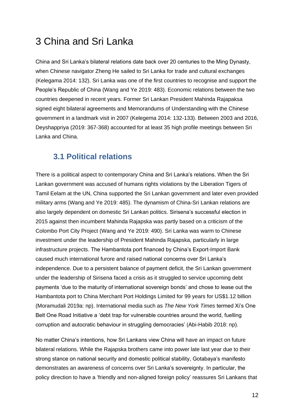# <span id="page-12-0"></span>3 China and Sri Lanka

China and Sri Lanka's bilateral relations date back over 20 centuries to the Ming Dynasty, when Chinese navigator Zheng He sailed to Sri Lanka for trade and cultural exchanges (Kelegama 2014: 132). Sri Lanka was one of the first countries to recognise and support the People's Republic of China (Wang and Ye 2019: 483). Economic relations between the two countries deepened in recent years. Former Sri Lankan President Mahinda Rajapaksa signed eight bilateral agreements and Memorandums of Understanding with the Chinese government in a landmark visit in 2007 (Kelegema 2014: 132-133). Between 2003 and 2016, Deyshappriya (2019: 367-368) accounted for at least 35 high profile meetings between Sri Lanka and China.

# <span id="page-12-1"></span>**3.1 Political relations**

There is a political aspect to contemporary China and Sri Lanka's relations. When the Sri Lankan government was accused of humans rights violations by the Liberation Tigers of Tamil Eelam at the UN, China supported the Sri Lankan government and later even provided military arms (Wang and Ye 2019: 485). The dynamism of China-Sri Lankan relations are also largely dependent on domestic Sri Lankan politics. Sirisena's successful election in 2015 against then incumbent Mahinda Rajapska was partly based on a criticism of the Colombo Port City Project (Wang and Ye 2019: 490). Sri Lanka was warm to Chinese investment under the leadership of President Mahinda Rajapska, particularly in large infrastructure projects. The Hambantota port financed by China's Export-Import Bank caused much international furore and raised national concerns over Sri Lanka's independence. Due to a persistent balance of payment deficit, the Sri Lankan government under the leadership of Sirisena faced a crisis as it struggled to service upcoming debt payments 'due to the maturity of international sovereign bonds' and chose to lease out the Hambantota port to China Merchant Port Holdings Limited for 99 years for US\$1.12 billion (Moramudali 2019a: np). International media such as *The New York Times* termed Xi's One Belt One Road Initiative a 'debt trap for vulnerable countries around the world, fuelling corruption and autocratic behaviour in struggling democracies' (Abi-Habib 2018: np).

No matter China's intentions, how Sri Lankans view China will have an impact on future bilateral relations. While the Rajapska brothers came into power late last year due to their strong stance on national security and domestic political stability, Gotabaya's manifesto demonstrates an awareness of concerns over Sri Lanka's sovereignty. In particular, the policy direction to have a 'friendly and non-aligned foreign policy' reassures Sri Lankans that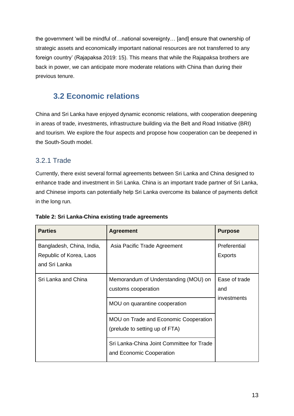the government 'will be mindful of…national sovereignty… [and] ensure that ownership of strategic assets and economically important national resources are not transferred to any foreign country' (Rajapaksa 2019: 15). This means that while the Rajapaksa brothers are back in power, we can anticipate more moderate relations with China than during their previous tenure.

# <span id="page-13-0"></span>**3.2 Economic relations**

China and Sri Lanka have enjoyed dynamic economic relations, with cooperation deepening in areas of trade, investments, infrastructure building via the Belt and Road Initiative (BRI) and tourism. We explore the four aspects and propose how cooperation can be deepened in the South-South model.

## <span id="page-13-1"></span>3.2.1 Trade

Currently, there exist several formal agreements between Sri Lanka and China designed to enhance trade and investment in Sri Lanka. China is an important trade partner of Sri Lanka, and Chinese imports can potentially help Sri Lanka overcome its balance of payments deficit in the long run.

| <b>Parties</b>                                                        | <b>Agreement</b>                                                                             | <b>Purpose</b>                      |
|-----------------------------------------------------------------------|----------------------------------------------------------------------------------------------|-------------------------------------|
| Bangladesh, China, India,<br>Republic of Korea, Laos<br>and Sri Lanka | Asia Pacific Trade Agreement                                                                 | Preferential<br><b>Exports</b>      |
| Sri Lanka and China                                                   | Memorandum of Understanding (MOU) on<br>customs cooperation<br>MOU on quarantine cooperation | Ease of trade<br>and<br>investments |
|                                                                       | MOU on Trade and Economic Cooperation<br>(prelude to setting up of FTA)                      |                                     |
|                                                                       | Sri Lanka-China Joint Committee for Trade<br>and Economic Cooperation                        |                                     |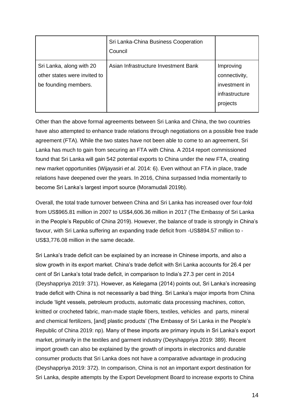|                                                                                  | Sri Lanka-China Business Cooperation<br>Council |                                                                           |
|----------------------------------------------------------------------------------|-------------------------------------------------|---------------------------------------------------------------------------|
| Sri Lanka, along with 20<br>other states were invited to<br>be founding members. | Asian Infrastructure Investment Bank            | Improving<br>connectivity,<br>investment in<br>infrastructure<br>projects |

Other than the above formal agreements between Sri Lanka and China, the two countries have also attempted to enhance trade relations through negotiations on a possible free trade agreement (FTA). While the two states have not been able to come to an agreement, Sri Lanka has much to gain from securing an FTA with China. A 2014 report commissioned found that Sri Lanka will gain 542 potential exports to China under the new FTA, creating new market opportunities (Wijayasiri *et al.* 2014: 6). Even without an FTA in place, trade relations have deepened over the years. In 2016, China surpassed India momentarily to become Sri Lanka's largest import source (Moramudali 2019b).

Overall, the total trade turnover between China and Sri Lanka has increased over four-fold from US\$965.81 million in 2007 to US\$4,606.36 million in 2017 (The Embassy of Sri Lanka in the People's Republic of China 2019). However, the balance of trade is strongly in China's favour, with Sri Lanka suffering an expanding trade deficit from -US\$894.57 million to - US\$3,776.08 million in the same decade.

Sri Lanka's trade deficit can be explained by an increase in Chinese imports, and also a slow growth in its export market. China's trade deficit with Sri Lanka accounts for 26.4 per cent of Sri Lanka's total trade deficit, in comparison to India's 27.3 per cent in 2014 (Deyshappriya 2019: 371). However, as Kelegama (2014) points out, Sri Lanka's increasing trade deficit with China is not necessarily a bad thing. Sri Lanka's major imports from China include 'light vessels, petroleum products, automatic data processing machines, cotton, knitted or crocheted fabric, man-made staple fibers, textiles, vehicles and parts, mineral and chemical fertilizers, [and] plastic products' (The Embassy of Sri Lanka in the People's Republic of China 2019: np). Many of these imports are primary inputs in Sri Lanka's export market, primarily in the textiles and garment industry (Deyshappriya 2019: 389). Recent import growth can also be explained by the growth of imports in electronics and durable consumer products that Sri Lanka does not have a comparative advantage in producing (Deyshappriya 2019: 372). In comparison, China is not an important export destination for Sri Lanka, despite attempts by the Export Development Board to increase exports to China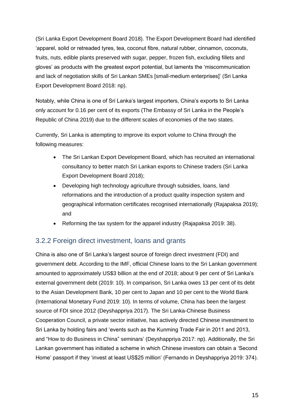(Sri Lanka Export Development Board 2018). The Export Development Board had identified 'apparel, solid or retreaded tyres, tea, coconut fibre, natural rubber, cinnamon, coconuts, fruits, nuts, edible plants preserved with sugar, pepper, frozen fish, excluding fillets and gloves' as products with the greatest export potential, but laments the 'miscommunication and lack of negotiation skills of Sri Lankan SMEs [small-medium enterprises]' (Sri Lanka Export Development Board 2018: np).

Notably, while China is one of Sri Lanka's largest importers, China's exports to Sri Lanka only account for 0.16 per cent of its exports (The Embassy of Sri Lanka in the People's Republic of China 2019) due to the different scales of economies of the two states.

Currently, Sri Lanka is attempting to improve its export volume to China through the following measures:

- The Sri Lankan Export Development Board, which has recruited an international consultancy to better match Sri Lankan exports to Chinese traders (Sri Lanka Export Development Board 2018);
- Developing high technology agriculture through subsidies, loans, land reformations and the introduction of a product quality inspection system and geographical information certificates recognised internationally (Rajapaksa 2019); and
- Reforming the tax system for the apparel industry (Rajapaksa 2019: 38).

## <span id="page-15-0"></span>3.2.2 Foreign direct investment, loans and grants

China is also one of Sri Lanka's largest source of foreign direct investment (FDI) and government debt. According to the IMF, official Chinese loans to the Sri Lankan government amounted to approximately US\$3 billion at the end of 2018; about 9 per cent of Sri Lanka's external government debt (2019: 10). In comparison, Sri Lanka owes 13 per cent of its debt to the Asian Development Bank, 10 per cent to Japan and 10 per cent to the World Bank (International Monetary Fund 2019: 10). In terms of volume, China has been the largest source of FDI since 2012 (Deyshappriya 2017). The Sri Lanka-Chinese Business Cooperation Council, a private sector initiative, has actively directed Chinese investment to Sri Lanka by holding fairs and 'events such as the Kunming Trade Fair in 2011 and 2013, and "How to do Business in China" seminars' (Deyshappriya 2017: np). Additionally, the Sri Lankan government has initiated a scheme in which Chinese investors can obtain a 'Second Home' passport if they 'invest at least US\$25 million' (Fernando in Deyshappriya 2019: 374).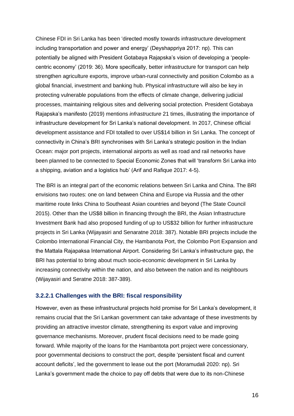Chinese FDI in Sri Lanka has been 'directed mostly towards infrastructure development including transportation and power and energy' (Deyshappriya 2017: np). This can potentially be aligned with President Gotabaya Rajapska's vision of developing a 'peoplecentric economy' (2019: 36). More specifically, better infrastructure for transport can help strengthen agriculture exports, improve urban-rural connectivity and position Colombo as a global financial, investment and banking hub. Physical infrastructure will also be key in protecting vulnerable populations from the effects of climate change, delivering judicial processes, maintaining religious sites and delivering social protection. President Gotabaya Rajapska's manifesto (2019) mentions *infrastructure* 21 times, illustrating the importance of infrastructure development for Sri Lanka's national development. In 2017, Chinese official development assistance and FDI totalled to over US\$14 billion in Sri Lanka. The concept of connectivity in China's BRI synchronises with Sri Lanka's strategic position in the Indian Ocean: major port projects, international airports as well as road and rail networks have been planned to be connected to Special Economic Zones that will 'transform Sri Lanka into a shipping, aviation and a logistics hub' (Arif and Rafique 2017: 4-5).

The BRI is an integral part of the economic relations between Sri Lanka and China. The BRI envisions two routes: one on land between China and Europe via Russia and the other maritime route links China to Southeast Asian countries and beyond (The State Council 2015). Other than the US\$8 billion in financing through the BRI, the Asian Infrastructure Investment Bank had also proposed funding of up to US\$32 billion for further infrastructure projects in Sri Lanka (Wijayasiri and Senaratne 2018: 387). Notable BRI projects include the Colombo International Financial City, the Hambanota Port, the Colombo Port Expansion and the Mattala Rajapaksa International Airport. Considering Sri Lanka's infrastructure gap, the BRI has potential to bring about much socio-economic development in Sri Lanka by increasing connectivity within the nation, and also between the nation and its neighbours (Wijayasiri and Seratne 2018: 387-389).

#### <span id="page-16-0"></span>**3.2.2.1 Challenges with the BRI: fiscal responsibility**

However, even as these infrastructural projects hold promise for Sri Lanka's development, it remains crucial that the Sri Lankan government can take advantage of these investments by providing an attractive investor climate, strengthening its export value and improving governance mechanisms. Moreover, prudent fiscal decisions need to be made going forward. While majority of the loans for the Hambantota port project were concessionary, poor governmental decisions to construct the port, despite 'persistent fiscal and current account deficits', led the government to lease out the port (Moramudali 2020: np). Sri Lanka's government made the choice to pay off debts that were due to its non-Chinese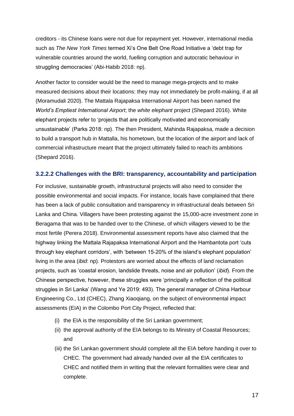creditors - its Chinese loans were not due for repayment yet. However, international media such as *The New York Times* termed Xi's One Belt One Road Initiative a 'debt trap for vulnerable countries around the world, fuelling corruption and autocratic behaviour in struggling democracies' (Abi-Habib 2018: np).

Another factor to consider would be the need to manage mega-projects and to make measured decisions about their locations: they may not immediately be profit-making, if at all (Moramudali 2020). The Mattala Rajapaksa International Airport has been named the *World's Emptiest International Airport*; the *white elephant* project (Shepard 2016). White elephant projects refer to 'projects that are politically motivated and economically unsustainable' (Parks 2018: np). The then President, Mahinda Rajapaksa, made a decision to build a transport hub in Mattalla, his hometown, but the location of the airport and lack of commercial infrastructure meant that the project ultimately failed to reach its ambitions (Shepard 2016).

#### <span id="page-17-0"></span>**3.2.2.2 Challenges with the BRI: transparency, accountability and participation**

For inclusive, sustainable growth, infrastructural projects will also need to consider the possible environmental and social impacts. For instance, locals have complained that there has been a lack of public consultation and transparency in infrastructural deals between Sri Lanka and China. Villagers have been protesting against the 15,000-acre investment zone in Beragama that was to be handed over to the Chinese, of which villagers viewed to be the most fertile (Perera 2018). Environmental assessment reports have also claimed that the highway linking the Mattala Rajapaksa International Airport and the Hambantota port 'cuts through key elephant corridors', with 'between 15-20% of the island's elephant population' living in the area (*ibid*: np). Protestors are worried about the effects of land reclamation projects, such as 'coastal erosion, landslide threats, noise and air pollution' (*ibid*)*.* From the Chinese perspective, however, these struggles were 'principally a reflection of the political struggles in Sri Lanka' (Wang and Ye 2019: 493). The general manager of China Harbour Engineering Co., Ltd (CHEC), Zhang Xiaoqiang, on the subject of environmental impact assessments (EIA) in the Colombo Port City Project, reflected that:

- (i) the EIA is the responsibility of the Sri Lankan government;
- (ii) the approval authority of the EIA belongs to its Ministry of Coastal Resources; and
- (iii) the Sri Lankan government should complete all the EIA before handing it over to CHEC. The government had already handed over all the EIA certificates to CHEC and notified them in writing that the relevant formalities were clear and complete.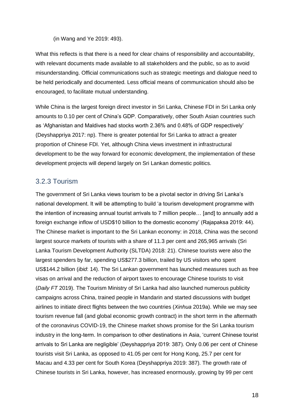(in Wang and Ye 2019: 493).

What this reflects is that there is a need for clear chains of responsibility and accountability, with relevant documents made available to all stakeholders and the public, so as to avoid misunderstanding. Official communications such as strategic meetings and dialogue need to be held periodically and documented. Less official means of communication should also be encouraged, to facilitate mutual understanding.

While China is the largest foreign direct investor in Sri Lanka, Chinese FDI in Sri Lanka only amounts to 0.10 per cent of China's GDP. Comparatively, other South Asian countries such as 'Afghanistan and Maldives had stocks worth 2.36% and 0.48% of GDP respectively' (Deyshappriya 2017: np). There is greater potential for Sri Lanka to attract a greater proportion of Chinese FDI. Yet, although China views investment in infrastructural development to be the way forward for economic development, the implementation of these development projects will depend largely on Sri Lankan domestic politics.

### <span id="page-18-0"></span>3.2.3 Tourism

The government of Sri Lanka views tourism to be a pivotal sector in driving Sri Lanka's national development. It will be attempting to build 'a tourism development programme with the intention of increasing annual tourist arrivals to 7 million people… [and] to annually add a foreign exchange inflow of USD\$10 billion to the domestic economy' (Rajapaksa 2019: 44). The Chinese market is important to the Sri Lankan economy: in 2018, China was the second largest source markets of tourists with a share of 11.3 per cent and 265,965 arrivals (Sri Lanka Tourism Development Authority (SLTDA) 2018: 21). Chinese tourists were also the largest spenders by far, spending US\$277.3 billion, trailed by US visitors who spent US\$144.2 billion (*ibid*: 14). The Sri Lankan government has launched measures such as free visas on arrival and the reduction of airport taxes to encourage Chinese tourists to visit (*Daily FT* 2019). The Tourism Ministry of Sri Lanka had also launched numerous publicity campaigns across China, trained people in Mandarin and started discussions with budget airlines to initiate direct flights between the two countries (*Xinhua* 2019a). While we may see tourism revenue fall (and global economic growth contract) in the short term in the aftermath of the coronavirus COVID-19, the Chinese market shows promise for the Sri Lanka tourism industry in the long-term. In comparison to other destinations in Asia, 'current Chinese tourist arrivals to Sri Lanka are negligible' (Deyshappriya 2019: 387). Only 0.06 per cent of Chinese tourists visit Sri Lanka, as opposed to 41.05 per cent for Hong Kong, 25.7 per cent for Macau and 4.33 per cent for South Korea (Deyshappriya 2019: 387). The growth rate of Chinese tourists in Sri Lanka, however, has increased enormously, growing by 99 per cent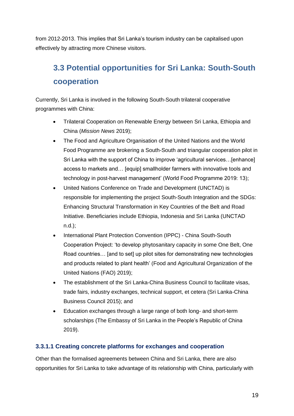from 2012-2013. This implies that Sri Lanka's tourism industry can be capitalised upon effectively by attracting more Chinese visitors.

# <span id="page-19-0"></span>**3.3 Potential opportunities for Sri Lanka: South-South cooperation**

Currently, Sri Lanka is involved in the following South-South trilateral cooperative programmes with China:

- Trilateral Cooperation on Renewable Energy between Sri Lanka, Ethiopia and China (*Mission News* 2019);
- The Food and Agriculture Organisation of the United Nations and the World Food Programme are brokering a South-South and triangular cooperation pilot in Sri Lanka with the support of China to improve 'agricultural services…[enhance] access to markets and… [equip] smallholder farmers with innovative tools and technology in post-harvest management' (World Food Programme 2019: 13);
- United Nations Conference on Trade and Development (UNCTAD) is responsible for implementing the project South-South Integration and the SDGs: Enhancing Structural Transformation in Key Countries of the Belt and Road Initiative. Beneficiaries include Ethiopia, Indonesia and Sri Lanka (UNCTAD n.d.);
- International Plant Protection Convention (IPPC) China South-South Cooperation Project: 'to develop phytosanitary capacity in some One Belt, One Road countries… [and to set] up pilot sites for demonstrating new technologies and products related to plant health' (Food and Agricultural Organization of the United Nations (FAO) 2019);
- The establishment of the Sri Lanka-China Business Council to facilitate visas, trade fairs, industry exchanges, technical support, et cetera (Sri Lanka-China Business Council 2015); and
- Education exchanges through a large range of both long- and short-term scholarships (The Embassy of Sri Lanka in the People's Republic of China 2019).

### <span id="page-19-1"></span>**3.3.1.1 Creating concrete platforms for exchanges and cooperation**

Other than the formalised agreements between China and Sri Lanka, there are also opportunities for Sri Lanka to take advantage of its relationship with China, particularly with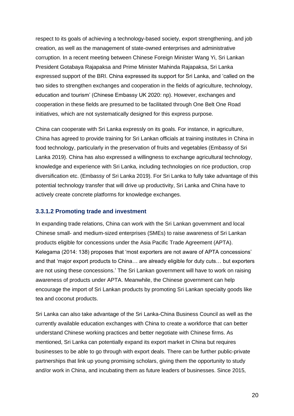respect to its goals of achieving a technology-based society, export strengthening, and job creation, as well as the management of state-owned enterprises and administrative corruption. In a recent meeting between Chinese Foreign Minister Wang Yi, Sri Lankan President Gotabaya Rajapaksa and Prime Minister Mahinda Rajapaksa, Sri Lanka expressed support of the BRI. China expressed its support for Sri Lanka, and 'called on the two sides to strengthen exchanges and cooperation in the fields of agriculture, technology, education and tourism' (Chinese Embassy UK 2020: np). However, exchanges and cooperation in these fields are presumed to be facilitated through One Belt One Road initiatives, which are not systematically designed for this express purpose.

China can cooperate with Sri Lanka expressly on its goals. For instance, in agriculture, China has agreed to provide training for Sri Lankan officials at training institutes in China in food technology, particularly in the preservation of fruits and vegetables (Embassy of Sri Lanka 2019). China has also expressed a willingness to exchange agricultural technology, knowledge and experience with Sri Lanka, including technologies on rice production, crop diversification etc. (Embassy of Sri Lanka 2019). For Sri Lanka to fully take advantage of this potential technology transfer that will drive up productivity, Sri Lanka and China have to actively create concrete platforms for knowledge exchanges.

#### <span id="page-20-0"></span>**3.3.1.2 Promoting trade and investment**

In expanding trade relations, China can work with the Sri Lankan government and local Chinese small- and medium-sized enterprises (SMEs) to raise awareness of Sri Lankan products eligible for concessions under the Asia Pacific Trade Agreement (APTA). Kelegama (2014: 138) proposes that 'most exporters are not aware of APTA concessions' and that 'major export products to China… are already eligible for duty cuts… but exporters are not using these concessions.' The Sri Lankan government will have to work on raising awareness of products under APTA. Meanwhile, the Chinese government can help encourage the import of Sri Lankan products by promoting Sri Lankan specialty goods like tea and coconut products.

Sri Lanka can also take advantage of the Sri Lanka-China Business Council as well as the currently available education exchanges with China to create a workforce that can better understand Chinese working practices and better negotiate with Chinese firms. As mentioned, Sri Lanka can potentially expand its export market in China but requires businesses to be able to go through with export deals. There can be further public-private partnerships that link up young promising scholars, giving them the opportunity to study and/or work in China, and incubating them as future leaders of businesses. Since 2015,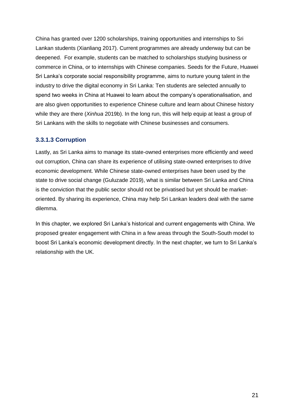China has granted over 1200 scholarships, training opportunities and internships to Sri Lankan students (Xianliang 2017). Current programmes are already underway but can be deepened. For example, students can be matched to scholarships studying business or commerce in China, or to internships with Chinese companies. Seeds for the Future, Huawei Sri Lanka's corporate social responsibility programme, aims to nurture young talent in the industry to drive the digital economy in Sri Lanka: Ten students are selected annually to spend two weeks in China at Huawei to learn about the company's operationalisation, and are also given opportunities to experience Chinese culture and learn about Chinese history while they are there (*Xinhua* 2019b). In the long run, this will help equip at least a group of Sri Lankans with the skills to negotiate with Chinese businesses and consumers.

### <span id="page-21-0"></span>**3.3.1.3 Corruption**

Lastly, as Sri Lanka aims to manage its state-owned enterprises more efficiently and weed out corruption, China can share its experience of utilising state-owned enterprises to drive economic development. While Chinese state-owned enterprises have been used by the state to drive social change (Guluzade 2019), what is similar between Sri Lanka and China is the conviction that the public sector should not be privatised but yet should be marketoriented. By sharing its experience, China may help Sri Lankan leaders deal with the same dilemma.

In this chapter, we explored Sri Lanka's historical and current engagements with China. We proposed greater engagement with China in a few areas through the South-South model to boost Sri Lanka's economic development directly. In the next chapter, we turn to Sri Lanka's relationship with the UK.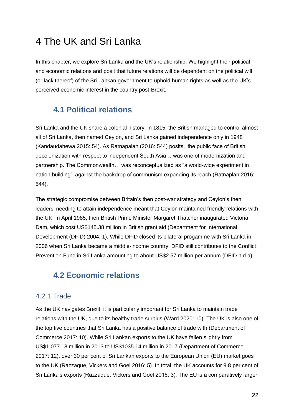# <span id="page-22-0"></span>4 The UK and Sri Lanka

In this chapter, we explore Sri Lanka and the UK's relationship. We highlight their political and economic relations and posit that future relations will be dependent on the political will (or lack thereof) of the Sri Lankan government to uphold human rights as well as the UK's perceived economic interest in the country post-Brexit.

# <span id="page-22-1"></span>**4.1 Political relations**

Sri Lanka and the UK share a colonial history: in 1815, the British managed to control almost all of Sri Lanka, then named Ceylon, and Sri Lanka gained independence only in 1948 (Kandaudahewa 2015: 54). As Ratnapalan (2016: 544) posits, 'the public face of British decolonization with respect to independent South Asia… was one of modernization and partnership. The Commonwealth… was reconceptualized as "a world-wide experiment in nation building"' against the backdrop of communism expanding its reach (Ratnaplan 2016: 544).

The strategic compromise between Britain's then post-war strategy and Ceylon's then leaders' needing to attain independence meant that Ceylon maintained friendly relations with the UK. In April 1985, then British Prime Minister Margaret Thatcher inaugurated Victoria Dam, which cost US\$145.38 million in British grant aid (Department for International Development (DFID) 2004: 1). While DFID closed its bilateral progamme with Sri Lanka in 2006 when Sri Lanka became a middle-income country, DFID still contributes to the Conflict Prevention Fund in Sri Lanka amounting to about US\$2.57 million per annum (DFID n.d.a).

# <span id="page-22-2"></span>**4.2 Economic relations**

## <span id="page-22-3"></span>4.2.1 Trade

As the UK navigates Brexit, it is particularly important for Sri Lanka to maintain trade relations with the UK, due to its healthy trade surplus (Ward 2020: 10). The UK is also one of the top five countries that Sri Lanka has a positive balance of trade with (Department of Commerce 2017: 10). While Sri Lankan exports to the UK have fallen slightly from US\$1,077.18 million in 2013 to US\$1035.14 million in 2017 (Department of Commerce 2017: 12), over 30 per cent of Sri Lankan exports to the European Union (EU) market goes to the UK (Razzaque, Vickers and Goel 2016: 5). In total, the UK accounts for 9.8 per cent of Sri Lanka's exports (Razzaque, Vickers and Goel 2016: 3). The EU is a comparatively larger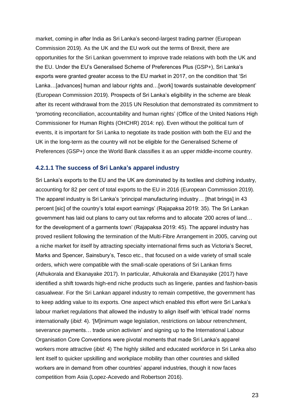market, coming in after India as Sri Lanka's second-largest trading partner (European Commission 2019). As the UK and the EU work out the terms of Brexit, there are opportunities for the Sri Lankan government to improve trade relations with both the UK and the EU. Under the EU's Generalised Scheme of Preferences Plus (GSP+), Sri Lanka's exports were granted greater access to the EU market in 2017, on the condition that 'Sri Lanka…[advances] human and labour rights and…[work] towards sustainable development' (European Commission 2019). Prospects of Sri Lanka's eligibility in the scheme are bleak after its recent withdrawal from the 2015 UN Resolution that demonstrated its commitment to **'**promoting reconciliation, accountability and human rights' (Office of the United Nations High Commissioner for Human Rights (OHCHR) 2014: np). Even without the political turn of events, it is important for Sri Lanka to negotiate its trade position with both the EU and the UK in the long-term as the country will not be eligible for the Generalised Scheme of Preferences (GSP+) once the World Bank classifies it as an upper middle-income country.

#### <span id="page-23-0"></span>**4.2.1.1 The success of Sri Lanka's apparel industry**

Sri Lanka's exports to the EU and the UK are dominated by its textiles and clothing industry, accounting for 82 per cent of total exports to the EU in 2016 (European Commission 2019). The apparel industry is Sri Lanka's 'principal manufacturing industry… [that brings] in 43 percent [sic] of the country's total export earnings' (Rajapaksa 2019: 35). The Sri Lankan government has laid out plans to carry out tax reforms and to allocate '200 acres of land… for the development of a garments town' (Rajapaksa 2019: 45). The apparel industry has proved resilient following the termination of the Multi-Fibre Arrangement in 2005, carving out a niche market for itself by attracting specialty international firms such as Victoria's Secret, Marks and Spencer, Sainsbury's, Tesco etc., that focused on a wide variety of small scale orders, which were compatible with the small-scale operations of Sri Lankan firms (Athukorala and Ekanayake 2017). In particular, Athukorala and Ekanayake (2017) have identified a shift towards high-end niche products such as lingerie, panties and fashion-basis casualwear. For the Sri Lankan apparel industry to remain competitive, the government has to keep adding value to its exports. One aspect which enabled this effort were Sri Lanka's labour market regulations that allowed the industry to align itself with 'ethical trade' norms internationally (*ibid*: 4). '[M]inimum wage legislation, restrictions on labour retrenchment, severance payments… trade union activism' and signing up to the International Labour Organisation Core Conventions were pivotal moments that made Sri Lanka's apparel workers more attractive (*ibid*: 4) The highly skilled and educated workforce in Sri Lanka also lent itself to quicker upskilling and workplace mobility than other countries and skilled workers are in demand from other countries' apparel industries, though it now faces competition from Asia (Lopez-Acevedo and Robertson 2016).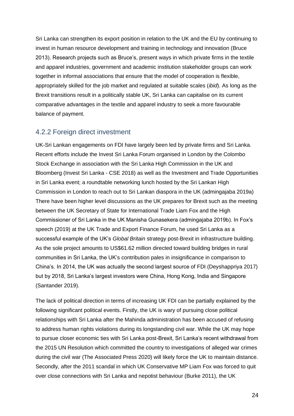Sri Lanka can strengthen its export position in relation to the UK and the EU by continuing to invest in human resource development and training in technology and innovation (Bruce 2013). Research projects such as Bruce's, present ways in which private firms in the textile and apparel industries, government and academic institution stakeholder groups can work together in informal associations that ensure that the model of cooperation is flexible, appropriately skilled for the job market and regulated at suitable scales (*ibid*). As long as the Brexit transitions result in a politically stable UK, Sri Lanka can capitalise on its current comparative advantages in the textile and apparel industry to seek a more favourable balance of payment.

### <span id="page-24-0"></span>4.2.2 Foreign direct investment

UK-Sri Lankan engagements on FDI have largely been led by private firms and Sri Lanka. Recent efforts include the Invest Sri Lanka Forum organised in London by the Colombo Stock Exchange in association with the Sri Lanka High Commission in the UK and Bloomberg (Invest Sri Lanka - CSE 2018) as well as the Investment and Trade Opportunities in Sri Lanka event; a roundtable networking lunch hosted by the Sri Lankan High Commission in London to reach out to Sri Lankan diaspora in the UK (admingajaba 2019a) There have been higher level discussions as the UK prepares for Brexit such as the meeting between the UK Secretary of State for International Trade Liam Fox and the High Commissioner of Sri Lanka in the UK Manisha Gunasekera (admingajaba 2019b). In Fox's speech (2019) at the UK Trade and Export Finance Forum, he used Sri Lanka as a successful example of the UK's *Global Britain* strategy post-Brexit in infrastructure building. As the sole project amounts to US\$61.62 million directed toward building bridges in rural communities in Sri Lanka, the UK's contribution pales in insignificance in comparison to China's. In 2014, the UK was actually the second largest source of FDI (Deyshappriya 2017) but by 2018, Sri Lanka's largest investors were China, Hong Kong, India and Singapore (Santander 2019).

The lack of political direction in terms of increasing UK FDI can be partially explained by the following significant political events. Firstly, the UK is wary of pursuing close political relationships with Sri Lanka after the Mahinda administration has been accused of refusing to address human rights violations during its longstanding civil war. While the UK may hope to pursue closer economic ties with Sri Lanka post-Brexit, Sri Lanka's recent withdrawal from the 2015 UN Resolution which committed the country to investigations of alleged war crimes during the civil war (The Associated Press 2020) will likely force the UK to maintain distance. Secondly, after the 2011 scandal in which UK Conservative MP Liam Fox was forced to quit over close connections with Sri Lanka and nepotist behaviour (Burke 2011), the UK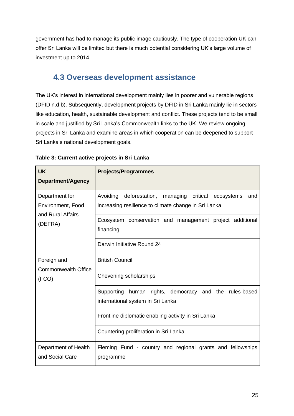government has had to manage its public image cautiously. The type of cooperation UK can offer Sri Lanka will be limited but there is much potential considering UK's large volume of investment up to 2014.

# <span id="page-25-0"></span>**4.3 Overseas development assistance**

The UK's interest in international development mainly lies in poorer and vulnerable regions (DFID n.d.b). Subsequently, development projects by DFID in Sri Lanka mainly lie in sectors like education, health, sustainable development and conflict. These projects tend to be small in scale and justified by Sri Lanka's Commonwealth links to the UK. We review ongoing projects in Sri Lanka and examine areas in which cooperation can be deepened to support Sri Lanka's national development goals.

| <b>UK</b><br>Department/Agency                                      | <b>Projects/Programmes</b>                                                                                                      |  |  |
|---------------------------------------------------------------------|---------------------------------------------------------------------------------------------------------------------------------|--|--|
| Department for<br>Environment, Food<br>and Rural Affairs<br>(DEFRA) | Avoiding<br>deforestation,<br>managing<br>critical<br>ecosystems<br>and<br>increasing resilience to climate change in Sri Lanka |  |  |
|                                                                     | Ecosystem conservation and management project additional<br>financing                                                           |  |  |
|                                                                     | Darwin Initiative Round 24                                                                                                      |  |  |
| Foreign and<br><b>Commonwealth Office</b>                           | <b>British Council</b>                                                                                                          |  |  |
| (FCO)                                                               | Chevening scholarships                                                                                                          |  |  |
|                                                                     | Supporting human rights, democracy<br>and the rules-based<br>international system in Sri Lanka                                  |  |  |
|                                                                     | Frontline diplomatic enabling activity in Sri Lanka                                                                             |  |  |
|                                                                     | Countering proliferation in Sri Lanka                                                                                           |  |  |
| Department of Health<br>and Social Care                             | Fleming Fund - country and regional grants and fellowships<br>programme                                                         |  |  |

#### **Table 3: Current active projects in Sri Lanka**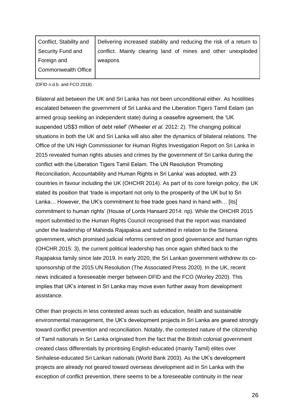| Conflict, Stability and    | Delivering increased stability and reducing the risk of a return to |
|----------------------------|---------------------------------------------------------------------|
| Security Fund and          | conflict. Mainly clearing land of mines and other unexploded        |
| Foreign and                | weapons                                                             |
| <b>Commonwealth Office</b> |                                                                     |

(DFID n.d.b. and FCO 2018)

Bilateral aid between the UK and Sri Lanka has not been unconditional either. As hostilities escalated between the government of Sri Lanka and the Liberation Tigers Tamil Eelam (an armed group seeking an independent state) during a ceasefire agreement, the 'UK suspended US\$3 million of debt relief' (Wheeler *et al.* 2012: 2). The changing political situations in both the UK and Sri Lanka will also alter the dynamics of bilateral relations. The Office of the UN High Commissioner for Human Rights Investigation Report on Sri Lanka in 2015 revealed human rights abuses and crimes by the government of Sri Lanka during the conflict with the Liberation Tigers Tamil Eelam. The UN Resolution 'Promoting Reconciliation, Accountability and Human Rights in Sri Lanka' was adopted, with 23 countries in favour including the UK (OHCHR 2014). As part of its core foreign policy, the UK stated its position that 'trade is important not only to the prosperity of the UK but to Sri Lanka... However, the UK's commitment to free trade goes hand in hand with... [its] commitment to human rights' (House of Lords Hansard 2014: np). While the OHCHR 2015 report submitted to the Human Rights Council recognised that the report was mandated under the leadership of Mahinda Rajapaksa and submitted in relation to the Sirisena government, which promised judicial reforms centred on good governance and human rights (OHCHR 2015: 3), the current political leadership has once again shifted back to the Rajapaksa family since late 2019. In early 2020, the Sri Lankan government withdrew its cosponsorship of the 2015 UN Resolution (The Associated Press 2020). In the UK, recent news indicated a foreseeable merger between DFID and the FCO (Worley 2020). This implies that UK's interest in Sri Lanka may move even further away from development assistance.

Other than projects in less contested areas such as education, health and sustainable environmental management, the UK's development projects in Sri Lanka are geared strongly toward conflict prevention and reconciliation. Notably, the contested nature of the citizenship of Tamil nationals in Sri Lanka originated from the fact that the British colonial government created class differentials by prioritising English-educated (mainly Tamil) elites over Sinhalese-educated Sri Lankan nationals (World Bank 2003). As the UK's development projects are already not geared toward overseas development aid in Sri Lanka with the exception of conflict prevention, there seems to be a foreseeable continuity in the near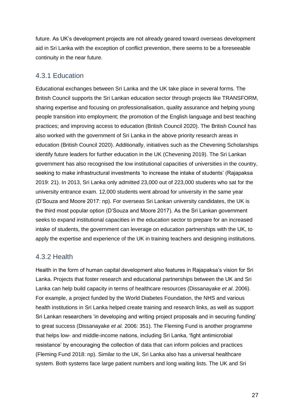future. As UK's development projects are not already geared toward overseas development aid in Sri Lanka with the exception of conflict prevention, there seems to be a foreseeable continuity in the near future.

## <span id="page-27-0"></span>4.3.1 Education

Educational exchanges between Sri Lanka and the UK take place in several forms. The British Council supports the Sri Lankan education sector through projects like TRANSFORM, sharing expertise and focusing on professionalisation, quality assurance and helping young people transition into employment; the promotion of the English language and best teaching practices; and improving access to education (British Council 2020). The British Council has also worked with the government of Sri Lanka in the above priority research areas in education (British Council 2020). Additionally, initiatives such as the Chevening Scholarships identify future leaders for further education in the UK (Chevening 2019). The Sri Lankan government has also recognised the low institutional capacities of universities in the country, seeking to make infrastructural investments 'to increase the intake of students' (Rajapaksa 2019: 21). In 2013, Sri Lanka only admitted 23,000 out of 223,000 students who sat for the university entrance exam. 12,000 students went abroad for university in the same year (D'Souza and Moore 2017: np). For overseas Sri Lankan university candidates, the UK is the third most popular option (D'Souza and Moore 2017). As the Sri Lankan government seeks to expand institutional capacities in the education sector to prepare for an increased intake of students, the government can leverage on education partnerships with the UK, to apply the expertise and experience of the UK in training teachers and designing institutions.

## <span id="page-27-1"></span>4.3.2 Health

Health in the form of human capital development also features in Rajapaksa's vision for Sri Lanka. Projects that foster research and educational partnerships between the UK and Sri Lanka can help build capacity in terms of healthcare resources (Dissanayake *et al*. 2006). For example, a project funded by the World Diabetes Foundation, the NHS and various health institutions in Sri Lanka helped create training and research links, as well as support Sri Lankan researchers 'in developing and writing project proposals and in securing funding' to great success (Dissanayake *et al.* 2006: 351). The Fleming Fund is another programme that helps low- and middle-income nations, including Sri Lanka, 'fight antimicrobial resistance' by encouraging the collection of data that can inform policies and practices (Fleming Fund 2018: np). Similar to the UK, Sri Lanka also has a universal healthcare system. Both systems face large patient numbers and long waiting lists. The UK and Sri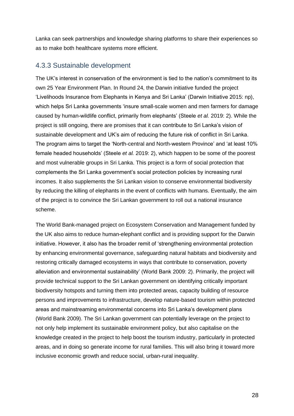Lanka can seek partnerships and knowledge sharing platforms to share their experiences so as to make both healthcare systems more efficient.

#### <span id="page-28-0"></span>4.3.3 Sustainable development

The UK's interest in conservation of the environment is tied to the nation's commitment to its own 25 Year Environment Plan. In Round 24, the Darwin initiative funded the project 'Livelihoods Insurance from Elephants in Kenya and Sri Lanka' (Darwin Initiative 2015: np), which helps Sri Lanka governments 'insure small-scale women and men farmers for damage caused by human-wildlife conflict, primarily from elephants' (Steele *et al.* 2019: 2). While the project is still ongoing, there are promises that it can contribute to Sri Lanka's vision of sustainable development and UK's aim of reducing the future risk of conflict in Sri Lanka. The program aims to target the 'North-central and North-western Province' and 'at least 10% female headed households' (Steele *et al.* 2019: 2), which happen to be some of the poorest and most vulnerable groups in Sri Lanka. This project is a form of social protection that complements the Sri Lanka government's social protection policies by increasing rural incomes. It also supplements the Sri Lankan vision to conserve environmental biodiversity by reducing the killing of elephants in the event of conflicts with humans. Eventually, the aim of the project is to convince the Sri Lankan government to roll out a national insurance scheme.

The World Bank-managed project on Ecosystem Conservation and Management funded by the UK also aims to reduce human-elephant conflict and is providing support for the Darwin initiative. However, it also has the broader remit of 'strengthening environmental protection by enhancing environmental governance, safeguarding natural habitats and biodiversity and restoring critically damaged ecosystems in ways that contribute to conservation, poverty alleviation and environmental sustainability' (World Bank 2009: 2). Primarily, the project will provide technical support to the Sri Lankan government on identifying critically important biodiversity hotspots and turning them into protected areas, capacity building of resource persons and improvements to infrastructure, develop nature-based tourism within protected areas and mainstreaming environmental concerns into Sri Lanka's development plans (World Bank 2009). The Sri Lankan government can potentially leverage on the project to not only help implement its sustainable environment policy, but also capitalise on the knowledge created in the project to help boost the tourism industry, particularly in protected areas, and in doing so generate income for rural families. This will also bring it toward more inclusive economic growth and reduce social, urban-rural inequality.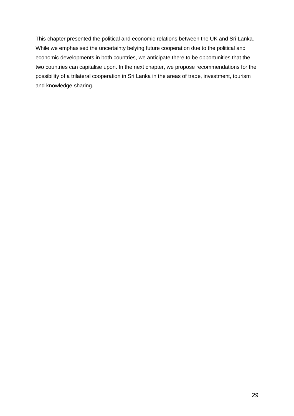This chapter presented the political and economic relations between the UK and Sri Lanka. While we emphasised the uncertainty belying future cooperation due to the political and economic developments in both countries, we anticipate there to be opportunities that the two countries can capitalise upon. In the next chapter, we propose recommendations for the possibility of a trilateral cooperation in Sri Lanka in the areas of trade, investment, tourism and knowledge-sharing.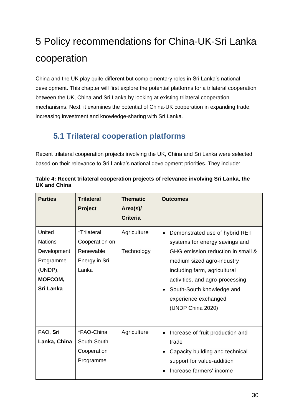# <span id="page-30-0"></span>5 Policy recommendations for China-UK-Sri Lanka cooperation

China and the UK play quite different but complementary roles in Sri Lanka's national development. This chapter will first explore the potential platforms for a trilateral cooperation between the UK, China and Sri Lanka by looking at existing trilateral cooperation mechanisms. Next, it examines the potential of China-UK cooperation in expanding trade, increasing investment and knowledge-sharing with Sri Lanka.

# <span id="page-30-1"></span>**5.1 Trilateral cooperation platforms**

Recent trilateral cooperation projects involving the UK, China and Sri Lanka were selected based on their relevance to Sri Lanka's national development priorities. They include:

| <b>Parties</b>                                                                                 | <b>Trilateral</b><br><b>Project</b>                                  | <b>Thematic</b><br>Area(s)/ | <b>Outcomes</b>                                                                                                                                                                                                                                                                               |
|------------------------------------------------------------------------------------------------|----------------------------------------------------------------------|-----------------------------|-----------------------------------------------------------------------------------------------------------------------------------------------------------------------------------------------------------------------------------------------------------------------------------------------|
|                                                                                                |                                                                      | <b>Criteria</b>             |                                                                                                                                                                                                                                                                                               |
| United<br><b>Nations</b><br>Development<br>Programme<br>(UNDP),<br>MOFCOM,<br><b>Sri Lanka</b> | *Trilateral<br>Cooperation on<br>Renewable<br>Energy in Sri<br>Lanka | Agriculture<br>Technology   | Demonstrated use of hybrid RET<br>$\bullet$<br>systems for energy savings and<br>GHG emission reduction in small &<br>medium sized agro-industry<br>including farm, agricultural<br>activities, and agro-processing<br>South-South knowledge and<br>experience exchanged<br>(UNDP China 2020) |
| FAO, Sri<br>Lanka, China                                                                       | *FAO-China<br>South-South<br>Cooperation<br>Programme                | Agriculture                 | Increase of fruit production and<br>trade<br>Capacity building and technical<br>support for value-addition<br>Increase farmers' income                                                                                                                                                        |

**Table 4: Recent trilateral cooperation projects of relevance involving Sri Lanka, the UK and China**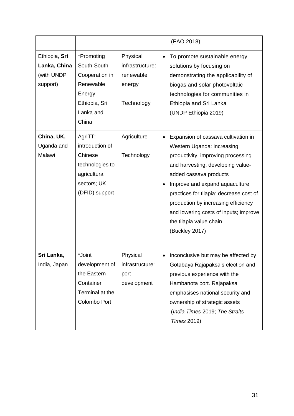|                                                         |                                                                                                            |                                                                  | (FAO 2018)                                                                                                                                                                                                                                                                                                                                                                                    |
|---------------------------------------------------------|------------------------------------------------------------------------------------------------------------|------------------------------------------------------------------|-----------------------------------------------------------------------------------------------------------------------------------------------------------------------------------------------------------------------------------------------------------------------------------------------------------------------------------------------------------------------------------------------|
| Ethiopia, Sri<br>Lanka, China<br>(with UNDP<br>support) | *Promoting<br>South-South<br>Cooperation in<br>Renewable<br>Energy:<br>Ethiopia, Sri<br>Lanka and<br>China | Physical<br>infrastructure:<br>renewable<br>energy<br>Technology | To promote sustainable energy<br>solutions by focusing on<br>demonstrating the applicability of<br>biogas and solar photovoltaic<br>technologies for communities in<br>Ethiopia and Sri Lanka<br>(UNDP Ethiopia 2019)                                                                                                                                                                         |
| China, UK,<br>Uganda and<br>Malawi                      | AgriTT:<br>introduction of<br>Chinese<br>technologies to<br>agricultural<br>sectors; UK<br>(DFID) support  | Agriculture<br>Technology                                        | Expansion of cassava cultivation in<br>$\bullet$<br>Western Uganda: increasing<br>productivity, improving processing<br>and harvesting, developing value-<br>added cassava products<br>Improve and expand aquaculture<br>practices for tilapia: decrease cost of<br>production by increasing efficiency<br>and lowering costs of inputs; improve<br>the tilapia value chain<br>(Buckley 2017) |
| Sri Lanka,<br>India, Japan                              | *Joint<br>development of<br>the Eastern<br>Container<br>Terminal at the<br>Colombo Port                    | Physical<br>infrastructure:<br>port<br>development               | Inconclusive but may be affected by<br>Gotabaya Rajapaksa's election and<br>previous experience with the<br>Hambanota port. Rajapaksa<br>emphasises national security and<br>ownership of strategic assets<br>(India Times 2019; The Straits<br><b>Times 2019)</b>                                                                                                                            |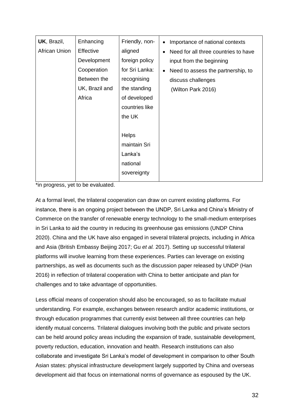| <b>UK, Brazil,</b> | Enhancing      | Friendly, non- | Importance of national contexts<br>$\bullet$      |
|--------------------|----------------|----------------|---------------------------------------------------|
| African Union      | Effective      | aligned        | Need for all three countries to have<br>$\bullet$ |
|                    | Development    | foreign policy | input from the beginning                          |
|                    | Cooperation    | for Sri Lanka: | Need to assess the partnership, to<br>$\bullet$   |
|                    | Between the    | recognising    | discuss challenges                                |
|                    | UK, Brazil and | the standing   | (Wilton Park 2016)                                |
|                    | Africa         | of developed   |                                                   |
|                    |                | countries like |                                                   |
|                    |                | the UK         |                                                   |
|                    |                |                |                                                   |
|                    |                | <b>Helps</b>   |                                                   |
|                    |                | maintain Sri   |                                                   |
|                    |                | Lanka's        |                                                   |
|                    |                | national       |                                                   |
|                    |                | sovereignty    |                                                   |
|                    |                |                |                                                   |

\*in progress, yet to be evaluated.

At a formal level, the trilateral cooperation can draw on current existing platforms. For instance, there is an ongoing project between the UNDP, Sri Lanka and China's Ministry of Commerce on the transfer of renewable energy technology to the small-medium enterprises in Sri Lanka to aid the country in reducing its greenhouse gas emissions (UNDP China 2020). China and the UK have also engaged in several trilateral projects, including in Africa and Asia (British Embassy Beijing 2017; Gu *et al.* 2017). Setting up successful trilateral platforms will involve learning from these experiences. Parties can leverage on existing partnerships, as well as documents such as the discussion paper released by UNDP (Han 2016) in reflection of trilateral cooperation with China to better anticipate and plan for challenges and to take advantage of opportunities.

Less official means of cooperation should also be encouraged, so as to facilitate mutual understanding. For example, exchanges between research and/or academic institutions, or through education programmes that currently exist between all three countries can help identify mutual concerns. Trilateral dialogues involving both the public and private sectors can be held around policy areas including the expansion of trade, sustainable development, poverty reduction, education, innovation and health. Research institutions can also collaborate and investigate Sri Lanka's model of development in comparison to other South Asian states: physical infrastructure development largely supported by China and overseas development aid that focus on international norms of governance as espoused by the UK.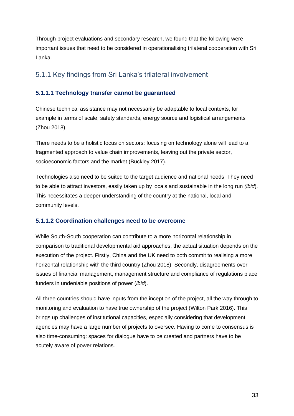Through project evaluations and secondary research, we found that the following were important issues that need to be considered in operationalising trilateral cooperation with Sri Lanka.

## <span id="page-33-0"></span>5.1.1 Key findings from Sri Lanka's trilateral involvement

### <span id="page-33-1"></span>**5.1.1.1 Technology transfer cannot be guaranteed**

Chinese technical assistance may not necessarily be adaptable to local contexts, for example in terms of scale, safety standards, energy source and logistical arrangements (Zhou 2018).

There needs to be a holistic focus on sectors: focusing on technology alone will lead to a fragmented approach to value chain improvements, leaving out the private sector, socioeconomic factors and the market (Buckley 2017).

Technologies also need to be suited to the target audience and national needs. They need to be able to attract investors, easily taken up by locals and sustainable in the long run *(ibid*). This necessitates a deeper understanding of the country at the national, local and community levels.

### <span id="page-33-2"></span>**5.1.1.2 Coordination challenges need to be overcome**

While South-South cooperation can contribute to a more horizontal relationship in comparison to traditional developmental aid approaches, the actual situation depends on the execution of the project. Firstly, China and the UK need to both commit to realising a more horizontal relationship with the third country (Zhou 2018). Secondly, disagreements over issues of financial management, management structure and compliance of regulations place funders in undeniable positions of power (*ibid*).

All three countries should have inputs from the inception of the project, all the way through to monitoring and evaluation to have true ownership of the project (Wilton Park 2016). This brings up challenges of institutional capacities, especially considering that development agencies may have a large number of projects to oversee. Having to come to consensus is also time-consuming: spaces for dialogue have to be created and partners have to be acutely aware of power relations.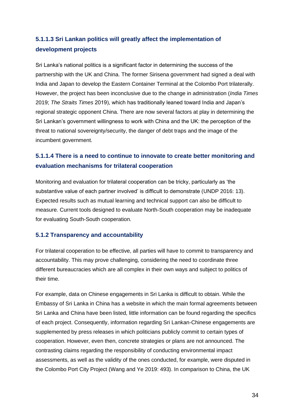# <span id="page-34-0"></span>**5.1.1.3 Sri Lankan politics will greatly affect the implementation of development projects**

Sri Lanka's national politics is a significant factor in determining the success of the partnership with the UK and China. The former Sirisena government had signed a deal with India and Japan to develop the Eastern Container Terminal at the Colombo Port trilaterally. However, the project has been inconclusive due to the change in administration (*India Times* 2019; *The Straits Times* 2019), which has traditionally leaned toward India and Japan's regional strategic opponent China. There are now several factors at play in determining the Sri Lankan's government willingness to work with China and the UK: the perception of the threat to national sovereignty/security, the danger of debt traps and the image of the incumbent government.

## <span id="page-34-1"></span>**5.1.1.4 There is a need to continue to innovate to create better monitoring and evaluation mechanisms for trilateral cooperation**

Monitoring and evaluation for trilateral cooperation can be tricky, particularly as 'the substantive value of each partner involved' is difficult to demonstrate (UNDP 2016: 13). Expected results such as mutual learning and technical support can also be difficult to measure. Current tools designed to evaluate North-South cooperation may be inadequate for evaluating South-South cooperation.

### <span id="page-34-2"></span>**5.1.2 Transparency and accountability**

For trilateral cooperation to be effective, all parties will have to commit to transparency and accountability. This may prove challenging, considering the need to coordinate three different bureaucracies which are all complex in their own ways and subject to politics of their time.

For example, data on Chinese engagements in Sri Lanka is difficult to obtain. While the Embassy of Sri Lanka in China has a website in which the main formal agreements between Sri Lanka and China have been listed, little information can be found regarding the specifics of each project. Consequently, information regarding Sri Lankan-Chinese engagements are supplemented by press releases in which politicians publicly commit to certain types of cooperation. However, even then, concrete strategies or plans are not announced. The contrasting claims regarding the responsibility of conducting environmental impact assessments, as well as the validity of the ones conducted, for example, were disputed in the Colombo Port City Project (Wang and Ye 2019: 493). In comparison to China, the UK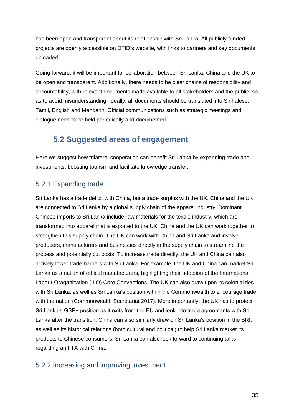has been open and transparent about its relationship with Sri Lanka. All publicly funded projects are openly accessible on DFID's website, with links to partners and key documents uploaded.

Going forward, it will be important for collaboration between Sri Lanka, China and the UK to be open and transparent. Additionally, there needs to be clear chains of responsibility and accountability, with relevant documents made available to all stakeholders and the public, so as to avoid misunderstanding. Ideally, all documents should be translated into Sinhalese, Tamil, English and Mandarin. Official communications such as strategic meetings and dialogue need to be held periodically and documented.

# <span id="page-35-0"></span>**5.2 Suggested areas of engagement**

Here we suggest how trilateral cooperation can benefit Sri Lanka by expanding trade and investments, boosting tourism and facilitate knowledge transfer.

## <span id="page-35-1"></span>5.2.1 Expanding trade

Sri Lanka has a trade deficit with China, but a trade surplus with the UK. China and the UK are connected to Sri Lanka by a global supply chain of the apparel industry. Dominant Chinese imports to Sri Lanka include raw materials for the textile industry, which are transformed into apparel that is exported to the UK. China and the UK can work together to strengthen this supply chain. The UK can work with China and Sri Lanka and involve producers, manufacturers and businesses directly in the supply chain to streamline the process and potentially cut costs. To increase trade directly, the UK and China can also actively lower trade barriers with Sri Lanka. For example, the UK and China can market Sri Lanka as a nation of ethical manufacturers, highlighting their adoption of the International Labour Oraganization (ILO) Core Conventions. The UK can also draw upon its colonial ties with Sri Lanka, as well as Sri Lanka's position within the Commonwealth to encourage trade with the nation (Commonwealth Secretariat 2017). More importantly, the UK has to protect Sri Lanka's GSP+ position as it exits from the EU and look into trade agreements with Sri Lanka after the transition. China can also similarly draw on Sri Lanka's position in the BRI, as well as its historical relations (both cultural and political) to help Sri Lanka market its products to Chinese consumers. Sri Lanka can also look forward to continuing talks regarding an FTA with China.

## <span id="page-35-2"></span>5.2.2 Increasing and improving investment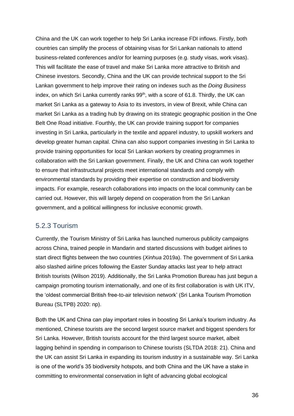China and the UK can work together to help Sri Lanka increase FDI inflows. Firstly, both countries can simplify the process of obtaining visas for Sri Lankan nationals to attend business-related conferences and/or for learning purposes (e.g. study visas, work visas). This will facilitate the ease of travel and make Sri Lanka more attractive to British and Chinese investors. Secondly, China and the UK can provide technical support to the Sri Lankan government to help improve their rating on indexes such as the *Doing Business* index, on which Sri Lanka currently ranks 99<sup>th</sup>, with a score of 61.8. Thirdly, the UK can market Sri Lanka as a gateway to Asia to its investors, in view of Brexit, while China can market Sri Lanka as a trading hub by drawing on its strategic geographic position in the One Belt One Road initiative. Fourthly, the UK can provide training support for companies investing in Sri Lanka, particularly in the textile and apparel industry, to upskill workers and develop greater human capital. China can also support companies investing in Sri Lanka to provide training opportunities for local Sri Lankan workers by creating programmes in collaboration with the Sri Lankan government. Finally, the UK and China can work together to ensure that infrastructural projects meet international standards and comply with environmental standards by providing their expertise on construction and biodiversity impacts. For example, research collaborations into impacts on the local community can be carried out. However, this will largely depend on cooperation from the Sri Lankan government, and a political willingness for inclusive economic growth.

### <span id="page-36-0"></span>5.2.3 Tourism

Currently, the Tourism Ministry of Sri Lanka has launched numerous publicity campaigns across China, trained people in Mandarin and started discussions with budget airlines to start direct flights between the two countries (*Xinhua* 2019a). The government of Sri Lanka also slashed airline prices following the Easter Sunday attacks last year to help attract British tourists (Wilson 2019). Additionally, the Sri Lanka Promotion Bureau has just begun a campaign promoting tourism internationally, and one of its first collaboration is with UK ITV, the 'oldest commercial British free-to-air television network' (Sri Lanka Tourism Promotion Bureau (SLTPB) 2020: np).

Both the UK and China can play important roles in boosting Sri Lanka's tourism industry. As mentioned, Chinese tourists are the second largest source market and biggest spenders for Sri Lanka. However, British tourists account for the third largest source market, albeit lagging behind in spending in comparison to Chinese tourists (SLTDA 2018: 21). China and the UK can assist Sri Lanka in expanding its tourism industry in a sustainable way. Sri Lanka is one of the world's 35 biodiversity hotspots, and both China and the UK have a stake in committing to environmental conservation in light of advancing global ecological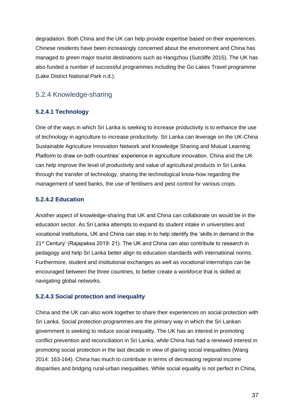degradation. Both China and the UK can help provide expertise based on their experiences. Chinese residents have been increasingly concerned about the environment and China has managed to *green* major tourist destinations such as Hangzhou (Sutcliffe 2015). The UK has also funded a number of successful programmes including the Go Lakes Travel programme (Lake District National Park n.d.).

## <span id="page-37-0"></span>5.2.4 Knowledge-sharing

### <span id="page-37-1"></span>**5.2.4.1 Technology**

One of the ways in which Sri Lanka is seeking to increase productivity is to enhance the use of technology in agriculture to increase productivity. Sri Lanka can leverage on the UK-China Sustainable Agriculture Innovation Network and Knowledge Sharing and Mutual Learning Platform to draw on both countries' experience in agriculture innovation. China and the UK can help improve the level of productivity and value of agricultural products in Sri Lanka through the transfer of technology, sharing the technological know-how regarding the management of seed banks, the use of fertilisers and pest control for various crops.

### <span id="page-37-2"></span>**5.2.4.2 Education**

Another aspect of knowledge-sharing that UK and China can collaborate on would be in the education sector. As Sri Lanka attempts to expand its student intake in universities and vocational institutions, UK and China can step in to help identify the 'skills in demand in the 21<sup>st</sup> Century' (Rajapaksa 2019: 21). The UK and China can also contribute to research in pedagogy and help Sri Lanka better align its education standards with international norms. Furthermore, student and institutional exchanges as well as vocational internships can be encouraged between the three countries, to better create a workforce that is skilled at navigating global networks.

### <span id="page-37-3"></span>**5.2.4.3 Social protection and inequality**

China and the UK can also work together to share their experiences on social protection with Sri Lanka. Social protection programmes are the primary way in which the Sri Lankan government is seeking to reduce social inequality. The UK has an interest in promoting conflict prevention and reconciliation in Sri Lanka, while China has had a renewed interest in promoting social protection in the last decade in view of glaring social inequalities (Wang 2014: 163-164). China has much to contribute in terms of decreasing regional income disparities and bridging rural-urban inequalities. While social equality is not perfect in China,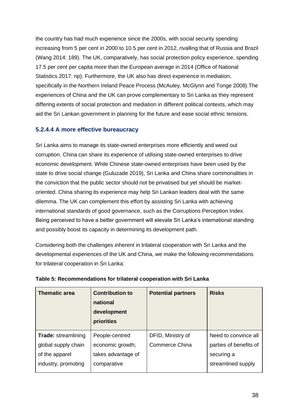the country has had much experience since the 2000s, with social security spending increasing from 5 per cent in 2000 to 10.5 per cent in 2012, rivalling that of Russia and Brazil (Wang 2014: 189). The UK, comparatively, has social protection policy experience, spending 17.5 per cent per capita more than the European average in 2014 (Office of National Statistics 2017: np). Furthermore, the UK also has direct experience in mediation, specifically in the Northern Ireland Peace Process (McAuley, McGlynn and Tonge 2008).The experiences of China and the UK can prove complementary to Sri Lanka as they represent differing extents of social protection and mediation in different political contexts, which may aid the Sri Lankan government in planning for the future and ease social ethnic tensions.

## <span id="page-38-0"></span>**5.2.4.4 A more effective bureaucracy**

Sri Lanka aims to manage its state-owned enterprises more efficiently and weed out corruption. China can share its experience of utilising state-owned enterprises to drive economic development. While Chinese state-owned enterprises have been used by the state to drive social change (Guluzade 2019), Sri Lanka and China share commonalities in the conviction that the public sector should not be privatised but yet should be marketoriented. China sharing its experience may help Sri Lankan leaders deal with the same dilemma. The UK can complement this effort by assisting Sri Lanka with achieving international standards of good governance, such as the Corruptions Perception Index. Being perceived to have a better government will elevate Sri Lanka's international standing and possibly boost its capacity in determining its development path.

Considering both the challenges inherent in trilateral cooperation with Sri Lanka and the developmental experiences of the UK and China, we make the following recommendations for trilateral cooperation in Sri Lanka:

| <b>Thematic area</b>       | <b>Contribution to</b><br>national<br>development<br>priorities | <b>Potential partners</b> | <b>Risks</b>           |
|----------------------------|-----------------------------------------------------------------|---------------------------|------------------------|
| <b>Trade: streamlining</b> | People-centred                                                  | DFID, Ministry of         | Need to convince all   |
| global supply chain        | economic growth;                                                | <b>Commerce China</b>     | parties of benefits of |
| of the apparel             | takes advantage of                                              |                           | securing a             |
| industry, promoting        | comparative                                                     |                           | streamlined supply     |

| Table 5: Recommendations for trilateral cooperation with Sri Lanka |  |  |
|--------------------------------------------------------------------|--|--|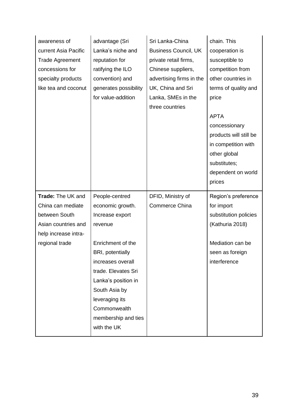| awareness of<br>current Asia Pacific<br><b>Trade Agreement</b><br>concessions for<br>specialty products<br>like tea and coconut | advantage (Sri<br>Lanka's niche and<br>reputation for<br>ratifying the ILO<br>convention) and<br>generates possibility<br>for value-addition                                                      | Sri Lanka-China<br><b>Business Council, UK</b><br>private retail firms,<br>Chinese suppliers,<br>advertising firms in the<br>UK, China and Sri<br>Lanka, SMEs in the<br>three countries | chain. This<br>cooperation is<br>susceptible to<br>competition from<br>other countries in<br>terms of quality and<br>price                    |
|---------------------------------------------------------------------------------------------------------------------------------|---------------------------------------------------------------------------------------------------------------------------------------------------------------------------------------------------|-----------------------------------------------------------------------------------------------------------------------------------------------------------------------------------------|-----------------------------------------------------------------------------------------------------------------------------------------------|
|                                                                                                                                 |                                                                                                                                                                                                   |                                                                                                                                                                                         | <b>APTA</b><br>concessionary<br>products will still be<br>in competition with<br>other global<br>substitutes;<br>dependent on world<br>prices |
| Trade: The UK and                                                                                                               | People-centred                                                                                                                                                                                    | DFID, Ministry of                                                                                                                                                                       | Region's preference                                                                                                                           |
| China can mediate<br>between South                                                                                              | economic growth.<br>Increase export                                                                                                                                                               | <b>Commerce China</b>                                                                                                                                                                   | for import<br>substitution policies                                                                                                           |
| Asian countries and                                                                                                             | revenue                                                                                                                                                                                           |                                                                                                                                                                                         | (Kathuria 2018)                                                                                                                               |
| help increase intra-<br>regional trade                                                                                          | Enrichment of the<br>BRI, potentially<br>increases overall<br>trade. Elevates Sri<br>Lanka's position in<br>South Asia by<br>leveraging its<br>Commonwealth<br>membership and ties<br>with the UK |                                                                                                                                                                                         | Mediation can be<br>seen as foreign<br>interference                                                                                           |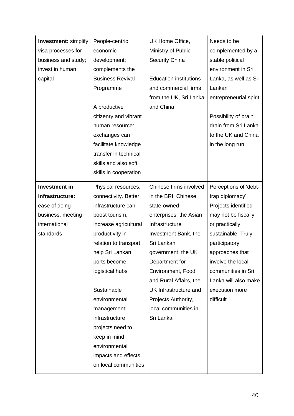| <b>Investment: simplify</b> | People-centric          | UK Home Office,               | Needs to be            |
|-----------------------------|-------------------------|-------------------------------|------------------------|
| visa processes for          | economic                | Ministry of Public            | complemented by a      |
| business and study;         | development;            | Security China                | stable political       |
| invest in human             | complements the         |                               | environment in Sri     |
| capital                     | <b>Business Revival</b> | <b>Education institutions</b> | Lanka, as well as Sri  |
|                             | Programme               | and commercial firms          | Lankan                 |
|                             |                         | from the UK, Sri Lanka        | entrepreneurial spirit |
|                             | A productive            | and China                     |                        |
|                             | citizenry and vibrant   |                               | Possibility of brain   |
|                             | human resource:         |                               | drain from Sri Lanka   |
|                             | exchanges can           |                               | to the UK and China    |
|                             | facilitate knowledge    |                               | in the long run        |
|                             | transfer in technical   |                               |                        |
|                             | skills and also soft    |                               |                        |
|                             | skills in cooperation   |                               |                        |
| <b>Investment in</b>        | Physical resources,     | Chinese firms involved        | Perceptions of 'debt-  |
| infrastructure:             | connectivity. Better    | in the BRI, Chinese           | trap diplomacy'.       |
| ease of doing               | infrastructure can      | state-owned                   | Projects identified    |
| business, meeting           | boost tourism,          | enterprises, the Asian        | may not be fiscally    |
| international               | increase agricultural   | Infrastructure                | or practically         |
| standards                   | productivity in         | Investment Bank, the          | sustainable. Truly     |
|                             | relation to transport,  | Sri Lankan                    | participatory          |
|                             | help Sri Lankan         | government, the UK            | approaches that        |
|                             | ports become            | Department for                | involve the local      |
|                             | logistical hubs         | Environment, Food             | communities in Sri     |
|                             |                         | and Rural Affairs, the        | Lanka will also make   |
|                             | Sustainable             | UK Infrastructure and         | execution more         |
|                             | environmental           | Projects Authority,           | difficult              |
|                             | management:             | local communities in          |                        |
|                             | infrastructure          | Sri Lanka                     |                        |
|                             | projects need to        |                               |                        |
|                             | keep in mind            |                               |                        |
|                             | environmental           |                               |                        |
|                             | impacts and effects     |                               |                        |
|                             | on local communities    |                               |                        |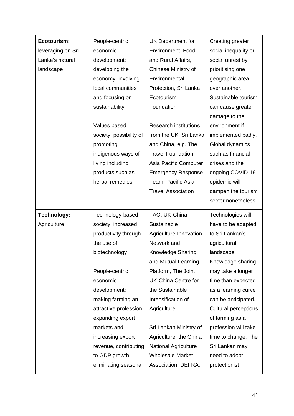| Ecotourism:        | People-centric          | <b>UK Department for</b>     | Creating greater            |
|--------------------|-------------------------|------------------------------|-----------------------------|
| leveraging on Sri  | economic                | Environment, Food            | social inequality or        |
| Lanka's natural    | development:            | and Rural Affairs,           | social unrest by            |
| landscape          | developing the          | Chinese Ministry of          | prioritising one            |
|                    | economy, involving      | Environmental                | geographic area             |
|                    | local communities       | Protection, Sri Lanka        | over another.               |
|                    | and focusing on         | Ecotourism                   | Sustainable tourism         |
|                    | sustainability          | Foundation                   | can cause greater           |
|                    |                         |                              | damage to the               |
|                    | Values based            | <b>Research institutions</b> | environment if              |
|                    | society: possibility of | from the UK, Sri Lanka       | implemented badly.          |
|                    | promoting               | and China, e.g. The          | Global dynamics             |
|                    | indigenous ways of      | <b>Travel Foundation,</b>    | such as financial           |
|                    | living including        | Asia Pacific Computer        | crises and the              |
|                    | products such as        | <b>Emergency Response</b>    | ongoing COVID-19            |
|                    | herbal remedies         | Team, Pacific Asia           | epidemic will               |
|                    |                         | <b>Travel Association</b>    | dampen the tourism          |
|                    |                         |                              | sector nonetheless          |
|                    |                         |                              |                             |
| <b>Technology:</b> | Technology-based        | FAO, UK-China                | Technologies will           |
| Agriculture        | society: increased      | Sustainable                  | have to be adapted          |
|                    | productivity through    | Agriculture Innovation       | to Sri Lankan's             |
|                    | the use of              | Network and                  | agricultural                |
|                    | biotechnology           | Knowledge Sharing            | landscape.                  |
|                    |                         | and Mutual Learning          | Knowledge sharing           |
|                    | People-centric          | Platform, The Joint          | may take a longer           |
|                    | economic                | <b>UK-China Centre for</b>   | time than expected          |
|                    | development:            | the Sustainable              | as a learning curve         |
|                    | making farming an       | Intensification of           | can be anticipated.         |
|                    | attractive profession,  | Agriculture                  | <b>Cultural perceptions</b> |
|                    | expanding export        |                              | of farming as a             |
|                    | markets and             | Sri Lankan Ministry of       | profession will take        |
|                    | increasing export       | Agriculture, the China       | time to change. The         |
|                    | revenue, contributing   | <b>National Agriculture</b>  | Sri Lankan may              |
|                    | to GDP growth,          | <b>Wholesale Market</b>      | need to adopt               |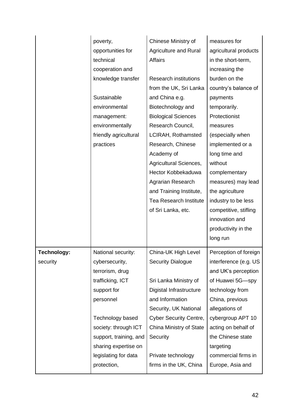|             | poverty,               | Chinese Ministry of           | measures for          |
|-------------|------------------------|-------------------------------|-----------------------|
|             | opportunities for      | <b>Agriculture and Rural</b>  | agricultural products |
|             | technical              | <b>Affairs</b>                | in the short-term,    |
|             | cooperation and        |                               | increasing the        |
|             | knowledge transfer     | <b>Research institutions</b>  | burden on the         |
|             |                        | from the UK, Sri Lanka        | country's balance of  |
|             | Sustainable            | and China e.g.                | payments              |
|             | environmental          | Biotechnology and             | temporarily.          |
|             | management:            | <b>Biological Sciences</b>    | Protectionist         |
|             | environmentally        | Research Council,             | measures              |
|             | friendly agricultural  | LCIRAH, Rothamsted            | (especially when      |
|             | practices              | Research, Chinese             | implemented or a      |
|             |                        | Academy of                    | long time and         |
|             |                        | Agricultural Sciences,        | without               |
|             |                        | Hector Kobbekaduwa            | complementary         |
|             |                        | Agrarian Research             | measures) may lead    |
|             |                        | and Training Institute,       | the agriculture       |
|             |                        | <b>Tea Research Institute</b> | industry to be less   |
|             |                        | of Sri Lanka, etc.            | competitive, stifling |
|             |                        |                               | innovation and        |
|             |                        |                               | productivity in the   |
|             |                        |                               | long run              |
| Technology: | National security:     | China-UK High Level           | Perception of foreign |
| security    | cybersecurity,         | <b>Security Dialogue</b>      | interference (e.g. US |
|             | terrorism, drug        |                               | and UK's perception   |
|             | trafficking, ICT       | Sri Lanka Ministry of         | of Huawei 5G-spy      |
|             | support for            | Digistal Infrastructure       | technology from       |
|             | personnel              | and Information               | China, previous       |
|             |                        | Security, UK National         | allegations of        |
|             | Technology based       | <b>Cyber Security Centre,</b> | cybergroup APT 10     |
|             | society: through ICT   | China Ministry of State       | acting on behalf of   |
|             | support, training, and | Security                      | the Chinese state     |
|             | sharing expertise on   |                               | targeting             |
|             | legislating for data   | Private technology            | commercial firms in   |
|             | protection,            | firms in the UK, China        | Europe, Asia and      |
|             |                        |                               |                       |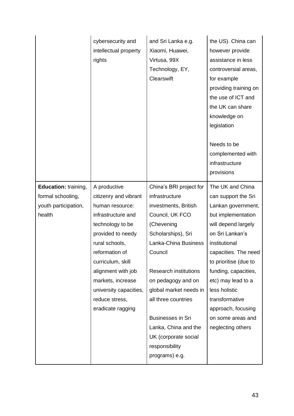|                             | cybersecurity and<br>intellectual property<br>rights | and Sri Lanka e.g.<br>Xiaomi, Huawei,<br>Virtusa, 99X<br>Technology, EY,<br>Clearswift | the US). China can<br>however provide<br>assistance in less<br>controversial areas,<br>for example<br>providing training on<br>the use of ICT and<br>the UK can share<br>knowledge on<br>legislation<br>Needs to be<br>complemented with |
|-----------------------------|------------------------------------------------------|----------------------------------------------------------------------------------------|------------------------------------------------------------------------------------------------------------------------------------------------------------------------------------------------------------------------------------------|
|                             |                                                      |                                                                                        | infrastructure<br>provisions                                                                                                                                                                                                             |
| <b>Education: training,</b> | A productive                                         | China's BRI project for                                                                | The UK and China                                                                                                                                                                                                                         |
| formal schooling,           | citizenry and vibrant                                | infrastructure                                                                         | can support the Sri                                                                                                                                                                                                                      |
| youth participation,        | human resource:                                      | investments, British                                                                   | Lankan government,                                                                                                                                                                                                                       |
| health                      | infrastructure and                                   | Council, UK FCO                                                                        | but implementation                                                                                                                                                                                                                       |
|                             | technology to be                                     | (Chevening                                                                             | will depend largely                                                                                                                                                                                                                      |
|                             | provided to needy                                    | Scholarships), Sri                                                                     | on Sri Lankan's                                                                                                                                                                                                                          |
|                             | rural schools,                                       | Lanka-China Business                                                                   | institutional                                                                                                                                                                                                                            |
|                             | reformation of                                       | Council                                                                                | capacities. The need                                                                                                                                                                                                                     |
|                             | curriculum, skill                                    |                                                                                        | to prioritise (due to                                                                                                                                                                                                                    |
|                             | alignment with job                                   | <b>Research institutions</b>                                                           | funding, capacities,                                                                                                                                                                                                                     |
|                             | markets, increase                                    | on pedagogy and on                                                                     | etc) may lead to a                                                                                                                                                                                                                       |
|                             | university capacities,                               | global market needs in                                                                 | less holistic                                                                                                                                                                                                                            |
|                             | reduce stress,                                       | all three countries                                                                    | transformative                                                                                                                                                                                                                           |
|                             | eradicate ragging                                    |                                                                                        | approach, focusing                                                                                                                                                                                                                       |
|                             |                                                      | <b>Businesses in Sri</b>                                                               | on some areas and                                                                                                                                                                                                                        |
|                             |                                                      | Lanka, China and the                                                                   | neglecting others                                                                                                                                                                                                                        |
|                             |                                                      | UK (corporate social                                                                   |                                                                                                                                                                                                                                          |
|                             |                                                      | responsibility                                                                         |                                                                                                                                                                                                                                          |
|                             |                                                      | programs) e.g.                                                                         |                                                                                                                                                                                                                                          |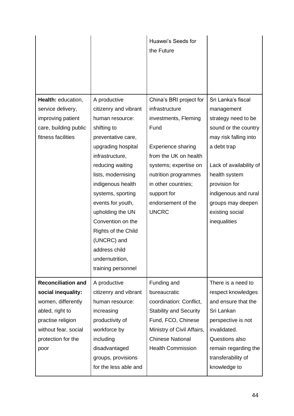|                           |                       | Huawei's Seeds for<br>the Future |                         |
|---------------------------|-----------------------|----------------------------------|-------------------------|
| Health: education,        | A productive          | China's BRI project for          | Sri Lanka's fiscal      |
| service delivery,         | citizenry and vibrant | infrastructure                   | management              |
| improving patient         | human resource:       | investments, Fleming             | strategy need to be     |
| care, building public     | shifting to           | Fund                             | sound or the country    |
| fitness facilities        | preventative care,    |                                  | may risk falling into   |
|                           | upgrading hospital    | <b>Experience sharing</b>        | a debt trap             |
|                           | infrastructure,       | from the UK on health            |                         |
|                           | reducing waiting      | systems; expertise on            | Lack of availability of |
|                           | lists, modernising    | nutrition programmes             | health system           |
|                           | indigenous health     | in other countries;              | provision for           |
|                           | systems, sporting     | support for                      | indigenous and rural    |
|                           | events for youth,     | endorsement of the               | groups may deepen       |
|                           | upholding the UN      | <b>UNCRC</b>                     | existing social         |
|                           | Convention on the     |                                  | inequalities            |
|                           | Rights of the Child   |                                  |                         |
|                           | (UNCRC) and           |                                  |                         |
|                           | address child         |                                  |                         |
|                           | undernutrition,       |                                  |                         |
|                           | training personnel    |                                  |                         |
| <b>Reconciliation and</b> | A productive          | Funding and                      | There is a need to      |
| social inequality:        | citizenry and vibrant | bureaucratic                     | respect knowledges      |
| women, differently        | human resource:       | coordination: Conflict,          | and ensure that the     |
| abled, right to           | increasing            | <b>Stability and Security</b>    | Sri Lankan              |
| practise religion         | productivity of       | Fund, FCO, Chinese               | perspective is not      |
| without fear, social      | workforce by          | Ministry of Civil Affairs,       | invalidated.            |
| protection for the        | including             | <b>Chinese National</b>          | Questions also          |
| poor                      | disadvantaged         | <b>Health Commission</b>         | remain regarding the    |
|                           | groups, provisions    |                                  | transferability of      |
|                           | for the less able and |                                  | knowledge to            |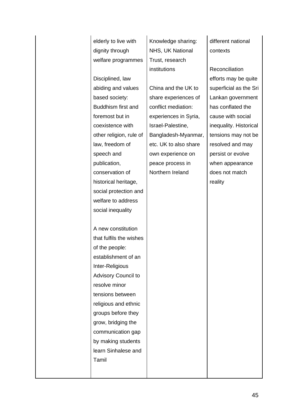| elderly to live with | K   |
|----------------------|-----|
| dignity through      | N   |
| welfare programmes   | l T |

Disciplined, law abiding and values based society: Buddhism first and foremost but in coexistence with other religion, rule of law, freedom of speech and publication, conservation of historical heritage, social protection and welfare to address social inequality

A new constitution that fulfils the wishes of the people: establishment of an Inter-Religious Advisory Council to resolve minor tensions between religious and ethnic groups before they grow, bridging the communication gap by making students learn Sinhalese and Tamil

nowledge sharing: **IHS, UK National** rust, research institutions

China and the UK to share experiences of conflict mediation: experiences in Syria, Israel-Palestine, Bangladesh-Myanmar, etc. UK to also share own experience on peace process in Northern Ireland

different national contexts

Reconciliation efforts may be quite superficial as the Sri Lankan government has conflated the cause with social inequality. Historical tensions may not be resolved and may persist or evolve when appearance does not match reality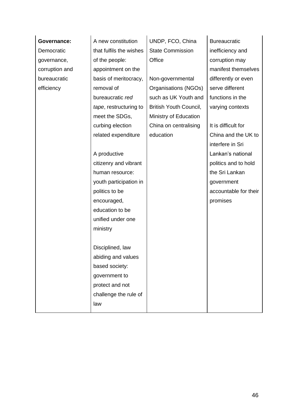| <b>Governance:</b> | A new constitution      | UNDP, FCO, China              | <b>Bureaucratic</b>   |
|--------------------|-------------------------|-------------------------------|-----------------------|
| Democratic         | that fulfils the wishes | <b>State Commission</b>       | inefficiency and      |
| governance,        | of the people:          | Office                        | corruption may        |
| corruption and     | appointment on the      |                               | manifest themselves   |
| bureaucratic       | basis of meritocracy,   | Non-governmental              | differently or even   |
| efficiency         | removal of              | Organisations (NGOs)          | serve different       |
|                    | bureaucratic red        | such as UK Youth and          | functions in the      |
|                    | tape, restructuring to  | <b>British Youth Council,</b> | varying contexts      |
|                    | meet the SDGs,          | Ministry of Education         |                       |
|                    | curbing election        | China on centralising         | It is difficult for   |
|                    | related expenditure     | education                     | China and the UK to   |
|                    |                         |                               | interfere in Sri      |
|                    | A productive            |                               | Lankan's national     |
|                    | citizenry and vibrant   |                               | politics and to hold  |
|                    | human resource:         |                               | the Sri Lankan        |
|                    | youth participation in  |                               | government            |
|                    | politics to be          |                               | accountable for their |
|                    | encouraged,             |                               | promises              |
|                    | education to be         |                               |                       |
|                    | unified under one       |                               |                       |
|                    | ministry                |                               |                       |
|                    |                         |                               |                       |
|                    | Disciplined, law        |                               |                       |
|                    | abiding and values      |                               |                       |
|                    | based society:          |                               |                       |
|                    | government to           |                               |                       |
|                    | protect and not         |                               |                       |
|                    | challenge the rule of   |                               |                       |
|                    | law                     |                               |                       |
|                    |                         |                               |                       |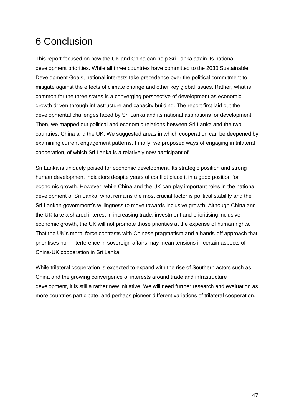# <span id="page-47-0"></span>6 Conclusion

This report focused on how the UK and China can help Sri Lanka attain its national development priorities. While all three countries have committed to the 2030 Sustainable Development Goals, national interests take precedence over the political commitment to mitigate against the effects of climate change and other key global issues. Rather, what is common for the three states is a converging perspective of development as economic growth driven through infrastructure and capacity building. The report first laid out the developmental challenges faced by Sri Lanka and its national aspirations for development. Then, we mapped out political and economic relations between Sri Lanka and the two countries; China and the UK. We suggested areas in which cooperation can be deepened by examining current engagement patterns. Finally, we proposed ways of engaging in trilateral cooperation, of which Sri Lanka is a relatively new participant of.

Sri Lanka is uniquely poised for economic development. Its strategic position and strong human development indicators despite years of conflict place it in a good position for economic growth. However, while China and the UK can play important roles in the national development of Sri Lanka, what remains the most crucial factor is political stability and the Sri Lankan government's willingness to move towards inclusive growth. Although China and the UK take a shared interest in increasing trade, investment and prioritising inclusive economic growth, the UK will not promote those priorities at the expense of human rights. That the UK's moral force contrasts with Chinese pragmatism and a hands-off approach that prioritises non-interference in sovereign affairs may mean tensions in certain aspects of China-UK cooperation in Sri Lanka.

While trilateral cooperation is expected to expand with the rise of Southern actors such as China and the growing convergence of interests around trade and infrastructure development, it is still a rather new initiative. We will need further research and evaluation as more countries participate, and perhaps pioneer different variations of trilateral cooperation.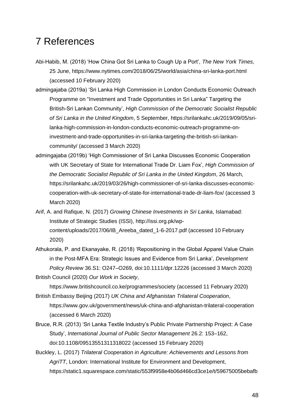# <span id="page-48-0"></span>7 References

- Abi-Habib, M. (2018) 'How China Got Sri Lanka to Cough Up a Port', *The New York Times*, 25 June,<https://www.nytimes.com/2018/06/25/world/asia/china-sri-lanka-port.html> (accessed 10 February 2020)
- admingajaba (2019a) 'Sri Lanka High Commission in London Conducts Economic Outreach Programme on "Investment and Trade Opportunities in Sri Lanka" Targeting the British-Sri Lankan Community', *High Commission of the Democratic Socialist Republic of Sri Lanka in the United Kingdom*, 5 September, [https://srilankahc.uk/2019/09/05/sri](about:blank)[lanka-high-commission-in-london-conducts-economic-outreach-programme-on](about:blank)[investment-and-trade-opportunities-in-sri-lanka-targeting-the-british-sri-lankan](about:blank)[community/](about:blank) (accessed 3 March 2020)
- admingajaba (2019b) 'High Commissioner of Sri Lanka Discusses Economic Cooperation with UK Secretary of State for International Trade Dr. Liam Fox', *High Commission of the Democratic Socialist Republic of Sri Lanka in the United Kingdom*, 26 March, [https://srilankahc.uk/2019/03/26/high-commissioner-of-sri-lanka-discusses-economic](about:blank)[cooperation-with-uk-secretary-of-state-for-international-trade-dr-liam-fox/](about:blank) (accessed 3 March 2020)
- Arif, A. and Rafique, N. (2017) *Growing Chinese Investments in Sri Lanka*, Islamabad: Institute of Strategic Studies (ISSI), [http://issi.org.pk/wp](about:blank)[content/uploads/2017/06/IB\\_Areeba\\_dated\\_1-6-2017.pdf](about:blank) (accessed 10 February 2020)
- Athukorala, P. and Ekanayake, R. (2018) 'Repositioning in the Global Apparel Value Chain in the Post-MFA Era: Strategic Issues and Evidence from Sri Lanka', *Development Policy Review* 36.S1: O247–O269, [doi:10.1111/dpr.12226](about:blank) (accessed 3 March 2020)
- British Council (2020) *Our Work in Society*,

https://www.britishcouncil.co.ke/programmes/society (accessed 11 February 2020) British Embassy Beijing (2017) *UK China and Afghanistan Trilateral Cooperation*,

<https://www.gov.uk/government/news/uk-china-and-afghanistan-trilateral-cooperation> (accessed 6 March 2020)

- Bruce, R.R. (2013) 'Sri Lanka Textile Industry's Public Private Partnership Project: A Case Study', *International Journal of Public Sector Management* 26.2: 153–162, doi[:10.1108/09513551311318022](https://doi.org/10.1108/09513551311318022) (accessed 15 February 2020)
- Buckley, L. (2017) *Trilateral Cooperation in Agriculture: Achievements and Lessons from AgriTT*, London: International Institute for Environment and Development, [https://static1.squarespace.com/static/553f9958e4b06d466cd3ce1e/t/59675005bebafb](https://static1.squarespace.com/static/553f9958e4b06d466cd3ce1e/t/59675005bebafb35fed6ad90/1499942960627/IIED+Lesson+Learning+Study+on+AgriTT.pdf)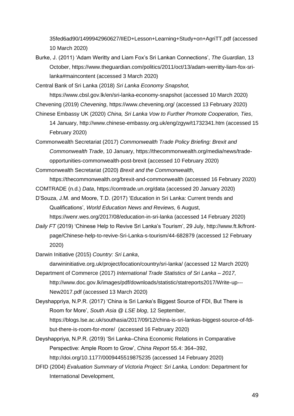[35fed6ad90/1499942960627/IIED+Lesson+Learning+Study+on+AgriTT.pdf](https://static1.squarespace.com/static/553f9958e4b06d466cd3ce1e/t/59675005bebafb35fed6ad90/1499942960627/IIED+Lesson+Learning+Study+on+AgriTT.pdf) (accessed 10 March 2020)

Burke, J. (2011) 'Adam Weritty and Liam Fox's Sri Lankan Connections', *The Guardian*, 13 October, [https://www.theguardian.com/politics/2011/oct/13/adam-werritty-liam-fox-sri](about:blank#maincontent)[lanka#maincontent](about:blank#maincontent) (accessed 3 March 2020)

Central Bank of Sri Lanka (2018) *Sri Lanka Economy Snapshot,* 

<https://www.cbsl.gov.lk/en/sri-lanka-economy-snapshot> (accessed 10 March 2020)

- Chevening (2019) *Chevening*, [https://www.chevening.org/](about:blank) (accessed 13 February 2020)
- Chinese Embassy UK (2020) *China, Sri Lanka Vow to Further Promote Cooperation, Ties*, 14 January, http://www.chinese-embassy.org.uk/eng/zgyw/t1732341.htm (accessed 15 February 2020)

Commonwealth Secretariat (2017) *Commonwealth Trade Policy Briefing: Brexit and Commonwealth Trade*, 10 January, [https://thecommonwealth.org/media/news/trade](https://thecommonwealth.org/media/news/trade-opportunities-commonwealth-post-brexit)[opportunities-commonwealth-post-brexit](https://thecommonwealth.org/media/news/trade-opportunities-commonwealth-post-brexit) (accessed 10 February 2020)

Commonwealth Secretariat (2020) *Brexit and the Commonwealth*, <https://thecommonwealth.org/brexit-and-commonwealth> (accessed 16 February 2020)

COMTRADE (n.d.) *Data*,<https://comtrade.un.org/data> (accessed 20 January 2020)

D'Souza, J.M. and Moore, T.D. (2017) 'Education in Sri Lanka: Current trends and Qualifications', *World Education News and Reviews,* 6 August,

<https://wenr.wes.org/2017/08/education-in-sri-lanka> (accessed 14 February 2020)

- *Daily FT* (2019) 'Chinese Help to Revive Sri Lanka's Tourism', 29 July, [http://www.ft.lk/front](http://www.ft.lk/front-page/Chinese-help-to-revive-Sri-Lanka-s-tourism/44-682879)[page/Chinese-help-to-revive-Sri-Lanka-s-tourism/44-682879](http://www.ft.lk/front-page/Chinese-help-to-revive-Sri-Lanka-s-tourism/44-682879) (accessed 12 February 2020)
- Darwin Initiative (2015) *Country: Sri Lanka*, darwininitiative.org.uk/project/location/country/sri-lanka/ (accessed 12 March 2020)
- Department of Commerce (2017) *International Trade Statistics of Sri Lanka – 2017*, [http://www.doc.gov.lk/images/pdf/downloads/statistic/statreports2017/Write-up---](http://www.doc.gov.lk/images/pdf/downloads/statistic/statreports2017/Write-up---New2017.pdf) [New2017.pdf](http://www.doc.gov.lk/images/pdf/downloads/statistic/statreports2017/Write-up---New2017.pdf) (accessed 13 March 2020)
- Deyshappriya, N.P.R. (2017) 'China is Sri Lanka's Biggest Source of FDI, But There is Room for More', *South Asia @ LSE blog*, 12 September, [https://blogs.lse.ac.uk/southasia/2017/09/12/china-is-sri-lankas-biggest-source-of-fdi](about:blank)[but-there-is-room-for-more/](about:blank) (accessed 16 February 2020)
- Deyshappriya, N.P.R. (2019) 'Sri Lanka–China Economic Relations in Comparative Perspective: Ample Room to Grow', *China Report* 55.4: 364–392, [http://doi.org/10.1177/0009445519875235](about:blank) (accessed 14 February 2020)
- DFID (2004) *Evaluation Summary of Victoria Project: Sri Lanka,* London: Department for International Development,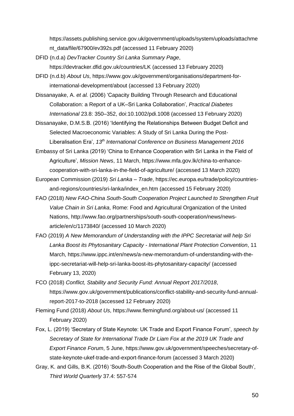https://assets.publishing.service.gov.uk/government/uploads/system/uploads/attachme nt\_data/file/67900/ev392s.pdf (accessed 11 February 2020)

- DFID (n.d.a) *DevTracker Country Sri Lanka Summary Page*, <https://devtracker.dfid.gov.uk/countries/LK> (accessed 13 February 2020)
- DFID (n.d.b) *About Us*, [https://www.gov.uk/government/organisations/department-for](https://www.gov.uk/government/organisations/department-for-international-development/about)[international-development/about](https://www.gov.uk/government/organisations/department-for-international-development/about) (accessed 13 February 2020)
- Dissanayake, A. *et al.* (2006) 'Capacity Building Through Research and Educational Collaboration: a Report of a UK–Sri Lanka Collaboration', *Practical Diabetes International* 23.8: 350–352, doi[:10.1002/pdi.1008](https://doi.org/10.1002/pdi.1008) (accessed 13 February 2020)
- Dissanayake, D.M.S.B. (2016) 'Identifying the Relationships Between Budget Deficit and Selected Macroeconomic Variables: A Study of Sri Lanka During the Post-Liberalisation Era', *13th International Conference on Business Management 2016*
- Embassy of Sri Lanka (2019) 'China to Enhance Cooperation with Sri Lanka in the Field of Agriculture', *Mission News*, 11 March, [https://www.mfa.gov.lk/china-to-enhance](https://www.mfa.gov.lk/china-to-enhance-cooperation-with-sri-lanka-in-the-field-of-agriculture/)[cooperation-with-sri-lanka-in-the-field-of-agriculture/](https://www.mfa.gov.lk/china-to-enhance-cooperation-with-sri-lanka-in-the-field-of-agriculture/) (accessed 13 March 2020)
- European Commission (2019) *Sri Lanka – Trade*, [https://ec.europa.eu/trade/policy/countries](https://ec.europa.eu/trade/policy/countries-and-regions/countries/sri-lanka/index_en.htm)[and-regions/countries/sri-lanka/index\\_en.htm](https://ec.europa.eu/trade/policy/countries-and-regions/countries/sri-lanka/index_en.htm) (accessed 15 February 2020)
- FAO (2018) *New FAO-China South-South Cooperation Project Launched to Strengthen Fruit Value Chain in Sri Lanka*, Rome: Food and Agricultural Organization of the United Nations, [http://www.fao.org/partnerships/south-south-cooperation/news/news](http://www.fao.org/partnerships/south-south-cooperation/news/news-article/en/c/1173840/)[article/en/c/1173840/](http://www.fao.org/partnerships/south-south-cooperation/news/news-article/en/c/1173840/) (accessed 10 March 2020)
- FAO (2019) *A New Memorandum of Understanding with the IPPC Secretariat will help Sri Lanka Boost its Phytosanitary Capacity - International Plant Protection Convention*, 11 March, [https://www.ippc.int/en/news/a-new-memorandum-of-understanding-with-the](https://www.ippc.int/en/news/a-new-memorandum-of-understanding-with-the-ippc-secretariat-will-help-sri-lanka-boost-its-phytosanitary-capacity/)[ippc-secretariat-will-help-sri-lanka-boost-its-phytosanitary-capacity/](https://www.ippc.int/en/news/a-new-memorandum-of-understanding-with-the-ippc-secretariat-will-help-sri-lanka-boost-its-phytosanitary-capacity/) (accessed February 13, 2020)
- FCO (2018) *Conflict, Stability and Security Fund: Annual Report 2017/2018*, [https://www.gov.uk/government/publications/conflict-stability-and-security-fund-annual](https://www.gov.uk/government/publications/conflict-stability-and-security-fund-annual-report-2017-to-2018)[report-2017-to-2018](https://www.gov.uk/government/publications/conflict-stability-and-security-fund-annual-report-2017-to-2018) (accessed 12 February 2020)
- Fleming Fund (2018) *About Us*,<https://www.flemingfund.org/about-us/> (accessed 11 February 2020)
- Fox, L. (2019) 'Secretary of State Keynote: UK Trade and Export Finance Forum', *speech by Secretary of State for International Trade Dr Liam Fox at the 2019 UK Trade and Export Finance Forum*, 5 June, [https://www.gov.uk/government/speeches/secretary-of](about:blank)[state-keynote-ukef-trade-and-export-finance-forum](about:blank) (accessed 3 March 2020)
- Gray, K. and Gills, B.K. (2016) 'South-South Cooperation and the Rise of the Global South', *Third World Quarterly* 37.4: 557-574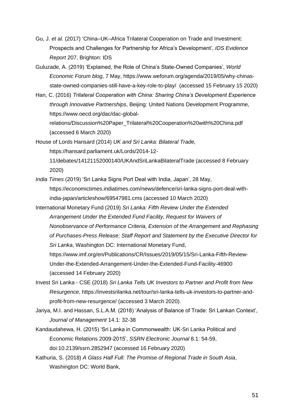- Gu, J. *et al.* (2017) 'China–UK–Africa Trilateral Cooperation on Trade and Investment: Prospects and Challenges for Partnership for Africa's Development', *IDS Evidence Report* 207, Brighton: IDS
- Guluzade, A. (2019) 'Explained, the Role of China's State-Owned Companies', *World Economic Forum blog*, 7 May, [https://www.weforum.org/agenda/2019/05/why-chinas](about:blank)[state-owned-companies-still-have-a-key-role-to-play/](about:blank) (accessed 15 February 15 2020)
- Han, C. (2016) *Trilateral Cooperation with China: Sharing China's Development Experience through Innovative Partnerships*, Beijing: United Nations Development Programme, [https://www.oecd.org/dac/dac-global-](https://www.oecd.org/dac/dac-global-relations/Discussion%20Paper_Trilateral%20Cooperation%20with%20China.pdf)

[relations/Discussion%20Paper\\_Trilateral%20Cooperation%20with%20China.pdf](https://www.oecd.org/dac/dac-global-relations/Discussion%20Paper_Trilateral%20Cooperation%20with%20China.pdf) (accessed 6 March 2020)

House of Lords Hansard (2014) *UK and Sri Lanka: Bilateral Trade,* https://hansard.parliament.uk/Lords/2014-12-

11/debates/14121152000140/UKAndSriLankaBilateralTrade (accessed 8 February 2020)

*India Times* (2019) 'Sri Lanka Signs Port Deal with India, Japan', 28 May,

[https://economictimes.indiatimes.com/news/defence/sri-lanka-signs-port-deal-with](https://economictimes.indiatimes.com/news/defence/sri-lanka-signs-port-deal-with-india-japan/articleshow/69547981.cms)[india-japan/articleshow/69547981.cms](https://economictimes.indiatimes.com/news/defence/sri-lanka-signs-port-deal-with-india-japan/articleshow/69547981.cms) (accessed 10 March 2020)

International Monetary Fund (2019) *Sri Lanka: Fifth Review Under the Extended Arrangement Under the Extended Fund Facility, Request for Waivers of Nonobservance of Performance Criteria, Extension of the Arrangement and Rephasing of Purchases-Press Release; Staff Report and Statement by the Executive Director for Sri Lanka*, Washington DC: International Monetary Fund, [https://www.imf.org/en/Publications/CR/Issues/2019/05/15/Sri-Lanka-Fifth-Review-](https://www.imf.org/en/Publications/CR/Issues/2019/05/15/Sri-Lanka-Fifth-Review-Under-the-Extended-Arrangement-Under-the-Extended-Fund-Facility-46900)[Under-the-Extended-Arrangement-Under-the-Extended-Fund-Facility-46900](https://www.imf.org/en/Publications/CR/Issues/2019/05/15/Sri-Lanka-Fifth-Review-Under-the-Extended-Arrangement-Under-the-Extended-Fund-Facility-46900) (accessed 14 February 2020)

- Invest Sri Lanka CSE (2018) *Sri Lanka Tells UK Investors to Partner and Profit from New Resurgence*, [https://investsrilanka.net/tour/sri-lanka-tells-uk-investors-to-partner-and](about:blank)[profit-from-new-resurgence/](about:blank) (accessed 3 March 2020).
- Jariya, M.I. and Hassan, S.L.A.M. (2018) 'Analysis of Balance of Trade: Sri Lankan Context', *Journal of Management* 14.1: 32-38
- Kandaudahewa, H. (2015) 'Sri Lanka in Commonwealth: UK-Sri Lanka Political and Economic Relations 2009-2015', *SSRN Electronic Journal* 8.1: 54-59, [doi:10.2139/ssrn.2852947](http://doi.org/10.2139/ssrn.2852947) (accessed 16 February 2020)

Kathuria, S. (2018) *A Glass Half Full: The Promise of Regional Trade in South Asia*, Washington DC: World Bank,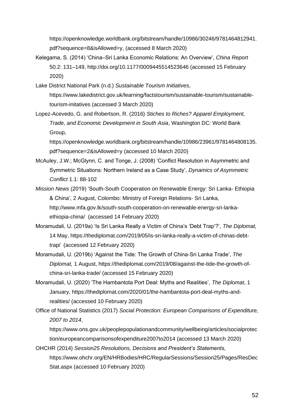[https://openknowledge.worldbank.org/bitstream/handle/10986/30246/9781464812941.](https://openknowledge.worldbank.org/bitstream/handle/10986/30246/9781464812941.pdf?sequence=8&isAllowed=y) [pdf?sequence=8&isAllowed=y,](https://openknowledge.worldbank.org/bitstream/handle/10986/30246/9781464812941.pdf?sequence=8&isAllowed=y) (accessed 8 March 2020)

- Kelegama, S. (2014) 'China–Sri Lanka Economic Relations: An Overview', *China Report* 50.2: 131–149,<http://doi.org/10.1177/0009445514523646> (accessed 15 February 2020)
- Lake District National Park (n.d.) *Sustainable Tourism Initiatives*, [https://www.lakedistrict.gov.uk/learning/factstourism/sustainable-tourism/sustainable](https://www.lakedistrict.gov.uk/learning/factstourism/sustainable-tourism/sustainable-tourism-initatives)[tourism-initatives](https://www.lakedistrict.gov.uk/learning/factstourism/sustainable-tourism/sustainable-tourism-initatives) (accessed 3 March 2020)
- Lopez-Acevedo, G. and Robertson, R. (2016) *Stiches to Riches? Apparel Employment, Trade, and Economic Development in South Asia*, Washington DC: World Bank Group,

[https://openknowledge.worldbank.org/bitstream/handle/10986/23961/9781464808135.](https://openknowledge.worldbank.org/bitstream/handle/10986/23961/9781464808135.pdf?sequence=2&isAllowed=y) [pdf?sequence=2&isAllowed=y](https://openknowledge.worldbank.org/bitstream/handle/10986/23961/9781464808135.pdf?sequence=2&isAllowed=y) (accessed 10 March 2020)

- McAuley, J.W.; McGlynn, C. and Tonge, J. (2008) 'Conflict Resolution in Asymmetric and Symmetric Situations: Northern Ireland as a Case Study', *Dynamics of Asymmetric Conflict* 1.1: 88-102
- *Mission News* (2019) 'South-South Cooperation on Renewable Energy: Sri Lanka- Ethiopia & China', 2 August, Colombo: Ministry of Foreign Relations- Sri Lanka, [http://www.mfa.gov.lk/south-south-cooperation-on-renewable-energy-sri-lanka](http://www.mfa.gov.lk/south-south-cooperation-on-renewable-energy-sri-lanka-ethiopia-china/)[ethiopia-china/](http://www.mfa.gov.lk/south-south-cooperation-on-renewable-energy-sri-lanka-ethiopia-china/) (accessed 14 February 2020)
- Moramudali, U. (2019a) 'Is Sri Lanka Really a Victim of China's 'Debt Trap'?', *The Diplomat,* 14 May, [https://thediplomat.com/2019/05/is-sri-lanka-really-a-victim-of-chinas-debt](https://thediplomat.com/2019/05/is-sri-lanka-really-a-victim-of-chinas-debt-trap/)[trap/](https://thediplomat.com/2019/05/is-sri-lanka-really-a-victim-of-chinas-debt-trap/) (accessed 12 February 2020)
- Moramudali, U. (2019b) 'Against the Tide: The Growth of China-Sri Lanka Trade', *The Diplomat,* 1 August, [https://thediplomat.com/2019/08/against-the-tide-the-growth-of](https://thediplomat.com/2019/08/against-the-tide-the-growth-of-china-sri-lanka-trade/)[china-sri-lanka-trade/](https://thediplomat.com/2019/08/against-the-tide-the-growth-of-china-sri-lanka-trade/) (accessed 15 February 2020)
- Moramudali, U. (2020) 'The Hambantota Port Deal: Myths and Realities', *The Diplomat*, 1 January, [https://thediplomat.com/2020/01/the-hambantota-port-deal-myths-and](https://thediplomat.com/2020/01/the-hambantota-port-deal-myths-and-realities/)[realities/](https://thediplomat.com/2020/01/the-hambantota-port-deal-myths-and-realities/) (accessed 10 February 2020)
- Office of National Statistics (2017) *Social Protection: European Comparisons of Expenditure, 2007 to 2014*,

[https://www.ons.gov.uk/peoplepopulationandcommunity/wellbeing/articles/socialprotec](https://www.ons.gov.uk/peoplepopulationandcommunity/wellbeing/articles/socialprotection/europeancomparisonsofexpenditure2007to2014) [tion/europeancomparisonsofexpenditure2007to2014](https://www.ons.gov.uk/peoplepopulationandcommunity/wellbeing/articles/socialprotection/europeancomparisonsofexpenditure2007to2014) (accessed 13 March 2020)

OHCHR (2014) *Session25 Resolutions, Decisions and President's Statements*, [https://www.ohchr.org/EN/HRBodies/HRC/RegularSessions/Session25/Pages/ResDec](https://www.ohchr.org/EN/HRBodies/HRC/RegularSessions/Session25/Pages/ResDecStat.aspx) [Stat.aspx](https://www.ohchr.org/EN/HRBodies/HRC/RegularSessions/Session25/Pages/ResDecStat.aspx) (accessed 10 February 2020)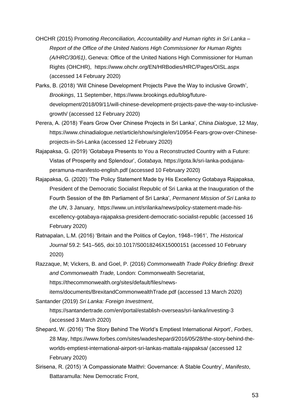- OHCHR (2015) P*romoting Reconciliation, Accountability and Human rights in Sri Lanka – Report of the Office of the United Nations High Commissioner for Human Rights (A/HRC/30/61)*, Geneva: Office of the United Nations High Commissioner for Human Rights (OHCHR), <https://www.ohchr.org/EN/HRBodies/HRC/Pages/OISL.aspx> (accessed 14 February 2020)
- Parks, B. (2018) 'Will Chinese Development Projects Pave the Way to inclusive Growth', *Brookings*, 11 September, [https://www.brookings.edu/blog/future](https://www.brookings.edu/blog/future-development/2018/09/11/will-chinese-development-projects-pave-the-way-to-inclusive-growth/)[development/2018/09/11/will-chinese-development-projects-pave-the-way-to-inclusive](https://www.brookings.edu/blog/future-development/2018/09/11/will-chinese-development-projects-pave-the-way-to-inclusive-growth/)[growth/](https://www.brookings.edu/blog/future-development/2018/09/11/will-chinese-development-projects-pave-the-way-to-inclusive-growth/) (accessed 12 February 2020)
- Perera, A. (2018) 'Fears Grow Over Chinese Projects in Sri Lanka', *China Dialogue*, 12 May, https://www.chinadialogue.net/article/show/single/en/10954-Fears-grow-over-Chineseprojects-in-Sri-Lanka (accessed 12 February 2020)
- Rajapaksa, G. (2019) 'Gotabaya Presents to You a Reconstructed Country with a Future: Vistas of Prosperity and Splendour', *Gotabaya,* [https://gota.lk/sri-lanka-podujana](https://gota.lk/sri-lanka-podujana-peramuna-manifesto-english.pdf)[peramuna-manifesto-english.pdf](https://gota.lk/sri-lanka-podujana-peramuna-manifesto-english.pdf) (accessed 10 February 2020)
- Rajapaksa, G. (2020) 'The Policy Statement Made by His Excellency Gotabaya Rajapaksa, President of the Democratic Socialist Republic of Sri Lanka at the Inauguration of the Fourth Session of the 8th Parliament of Sri Lanka', *Permanent Mission of Sri Lanka to the UN*, 3 January, [https://www.un.int/srilanka/news/policy-statement-made-his](https://www.un.int/srilanka/news/policy-statement-made-his-excellency-gotabaya-rajapaksa-president-democratic-socialist-republic)[excellency-gotabaya-rajapaksa-president-democratic-socialist-republic](https://www.un.int/srilanka/news/policy-statement-made-his-excellency-gotabaya-rajapaksa-president-democratic-socialist-republic) (accessed 16 February 2020)
- Ratnapalan, L.M. (2016) 'Britain and the Politics of Ceylon, 1948–1961', *The Historical Journal* 59.2: 541–565, [doi:10.1017/S0018246X15000151](http://doi.org/10.1017/S0018246X15000151) (accessed 10 February 2020)
- Razzaque, M; Vickers, B. and Goel, P. (2016) *Commonwealth Trade Policy Briefing: Brexit and Commonwealth Trade,* London: Commonwealth Secretariat, [https://thecommonwealth.org/sites/default/files/news-](https://thecommonwealth.org/sites/default/files/news-items/documents/BrexitandCommonwealthTrade.pdf)

[items/documents/BrexitandCommonwealthTrade.pdf](https://thecommonwealth.org/sites/default/files/news-items/documents/BrexitandCommonwealthTrade.pdf) (accessed 13 March 2020) Santander (2019) *Sri Lanka: Foreign Investment*,

<https://santandertrade.com/en/portal/establish-overseas/sri-lanka/investing-3> (accessed 3 March 2020)

- Shepard, W. (2016) 'The Story Behind The World's Emptiest International Airport', *Forbes*, 28 May, [https://www.forbes.com/sites/wadeshepard/2016/05/28/the-story-behind-the](https://www.forbes.com/sites/wadeshepard/2016/05/28/the-story-behind-the-worlds-emptiest-international-airport-sri-lankas-mattala-rajapaksa/)[worlds-emptiest-international-airport-sri-lankas-mattala-rajapaksa/](https://www.forbes.com/sites/wadeshepard/2016/05/28/the-story-behind-the-worlds-emptiest-international-airport-sri-lankas-mattala-rajapaksa/) (accessed 12 February 2020)
- Sirisena, R. (2015) 'A Compassionate Maithri: Governance: A Stable Country', *Manifesto*, Battaramulla: New Democratic Front,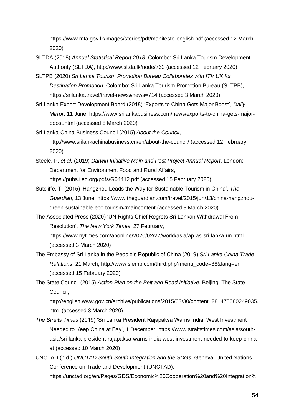<https://www.mfa.gov.lk/images/stories/pdf/manifesto-english.pdf> (accessed 12 March 2020)

- SLTDA (2018) *Annual Statistical Report 2018*, Colombo: Sri Lanka Tourism Development Authority (SLTDA), <http://www.sltda.lk/node/763> (accessed 12 February 2020)
- SLTPB (2020) *Sri Lanka Tourism Promotion Bureau Collaborates with ITV UK for Destination Promotion*, Colombo: Sri Lanka Tourism Promotion Bureau (SLTPB), <https://srilanka.travel/travel-news&news=714> (accessed 3 March 2020)
- Sri Lanka Export Development Board (2018) 'Exports to China Gets Major Boost', *Daily Mirror*, 11 June, [https://www.srilankabusiness.com/news/exports-to-china-gets-major](https://www.srilankabusiness.com/news/exports-to-china-gets-major-boost.html)[boost.html](https://www.srilankabusiness.com/news/exports-to-china-gets-major-boost.html) (accessed 8 March 2020)
- Sri Lanka-China Business Council (2015) *About the Council*, <http://www.srilankachinabusiness.cn/en/about-the-council/> (accessed 12 February 2020)
- Steele, P. *et al.* (2019) *Darwin Initiative Main and Post Project Annual Report*, London: Department for Environment Food and Rural Affairs, <https://pubs.iied.org/pdfs/G04412.pdf> (accessed 15 February 2020)
- Sutcliffe, T. (2015) 'Hangzhou Leads the Way for Sustainable Tourism in China', *The Guardian*, 13 June, [https://www.theguardian.com/travel/2015/jun/13/china-hangzhou](https://www.theguardian.com/travel/2015/jun/13/china-hangzhou-green-sustainable-eco-tourism#maincontent)[green-sustainable-eco-tourism#maincontent](https://www.theguardian.com/travel/2015/jun/13/china-hangzhou-green-sustainable-eco-tourism#maincontent) (accessed 3 March 2020)
- The Associated Press (2020) 'UN Rights Chief Regrets Sri Lankan Withdrawal From Resolution', *The New York Times*, 27 February, <https://www.nytimes.com/aponline/2020/02/27/world/asia/ap-as-sri-lanka-un.html> (accessed 3 March 2020)
- The Embassy of Sri Lanka in the People's Republic of China (2019) *Sri Lanka China Trade Relations*, 21 March, [http://www.slemb.com/third.php?menu\\_code=38&lang=en](http://www.slemb.com/third.php?menu_code=38&lang=en) (accessed 15 February 2020)
- The State Council (2015) *Action Plan on the Belt and Road Initiative*, Beijing: The State Council,

http://english.www.gov.cn/archive/publications/2015/03/30/content\_281475080249035. htm (accessed 3 March 2020)

- *The Straits Times* (2019) 'Sri Lanka President Rajapaksa Warns India, West Investment Needed to Keep China at Bay', 1 December, [https://www.straitstimes.com/asia/south](https://www.straitstimes.com/asia/south-asia/sri-lanka-president-rajapaksa-warns-india-west-investment-needed-to-keep-china-at)[asia/sri-lanka-president-rajapaksa-warns-india-west-investment-needed-to-keep-china](https://www.straitstimes.com/asia/south-asia/sri-lanka-president-rajapaksa-warns-india-west-investment-needed-to-keep-china-at)[at](https://www.straitstimes.com/asia/south-asia/sri-lanka-president-rajapaksa-warns-india-west-investment-needed-to-keep-china-at) (accessed 10 March 2020)
- UNCTAD (n.d.) *UNCTAD South-South Integration and the SDGs*, Geneva: United Nations Conference on Trade and Development (UNCTAD),

[https://unctad.org/en/Pages/GDS/Economic%20Cooperation%20and%20Integration%](https://unctad.org/en/Pages/GDS/Economic%20Cooperation%20and%20Integration%20among%20Developing%20Countries/2030Agenda-South-South-Integration-and-the-SDGs.aspx)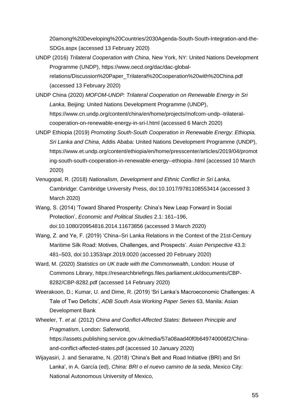[20among%20Developing%20Countries/2030Agenda-South-South-Integration-and-the-](https://unctad.org/en/Pages/GDS/Economic%20Cooperation%20and%20Integration%20among%20Developing%20Countries/2030Agenda-South-South-Integration-and-the-SDGs.aspx)[SDGs.aspx](https://unctad.org/en/Pages/GDS/Economic%20Cooperation%20and%20Integration%20among%20Developing%20Countries/2030Agenda-South-South-Integration-and-the-SDGs.aspx) (accessed 13 February 2020)

- UNDP (2016) *Trilateral Cooperation with China*, New York, NY: United Nations Development Programme (UNDP), [https://www.oecd.org/dac/dac-global](https://www.oecd.org/dac/dac-global-relations/Discussion%20Paper_Trilateral%20Cooperation%20with%20China.pdf)[relations/Discussion%20Paper\\_Trilateral%20Cooperation%20with%20China.pdf](https://www.oecd.org/dac/dac-global-relations/Discussion%20Paper_Trilateral%20Cooperation%20with%20China.pdf) (accessed 13 February 2020)
- UNDP China (2020) *MOFOM-UNDP: Trilateral Cooperation on Renewable Energy in Sri Lanka*, Beijing: United Nations Development Programme (UNDP), [https://www.cn.undp.org/content/china/en/home/projects/mofcom-undp--trilateral](https://www.cn.undp.org/content/china/en/home/projects/mofcom-undp--trilateral-cooperation-on-renewable-energy-in-sri-l.html)[cooperation-on-renewable-energy-in-sri-l.html](https://www.cn.undp.org/content/china/en/home/projects/mofcom-undp--trilateral-cooperation-on-renewable-energy-in-sri-l.html) (accessed 6 March 2020)
- UNDP Ethiopia (2019) *Promoting South-South Cooperation in Renewable Energy: Ethiopia, Sri Lanka and China*, Addis Ababa: United Nations Development Programme (UNDP), [https://www.et.undp.org/content/ethiopia/en/home/presscenter/articles/2019/04/promot](https://www.et.undp.org/content/ethiopia/en/home/presscenter/articles/2019/04/promoting-south-south-cooperation-in-renewable-energy--ethiopia-.html) [ing-south-south-cooperation-in-renewable-energy--ethiopia-.html](https://www.et.undp.org/content/ethiopia/en/home/presscenter/articles/2019/04/promoting-south-south-cooperation-in-renewable-energy--ethiopia-.html) (accessed 10 March 2020)
- Venugopal, R. (2018) *Nationalism, Development and Ethnic Conflict in Sri Lanka,*  Cambridge: Cambridge University Press, [doi:10.1017/9781108553414](http://doi.org/10.1017/9781108553414) (accessed 3 March 2020)
- Wang, S. (2014) 'Toward Shared Prosperity: China's New Leap Forward in Social Protection', *Economic and Political Studies* 2.1: 161–196, [doi:10.1080/20954816.2014.11673856](http://doi.org/10.1080/20954816.2014.11673856) (accessed 3 March 2020)
- Wang, Z. and Ye, F. (2019) 'China–Sri Lanka Relations in the Context of the 21st-Century Maritime Silk Road: Motives, Challenges, and Prospects'. *Asian Perspective* 43.3: 481–503, doi[:10.1353/apr.2019.0020](https://doi.org/10.1353/apr.2019.0020) (accessed 20 February 2020)
- Ward, M. (2020) *Statistics on UK trade with the Commonwealth*, London: House of Commons Library, [https://researchbriefings.files.parliament.uk/documents/CBP-](https://researchbriefings.files.parliament.uk/documents/CBP-8282/CBP-8282.pdf)[8282/CBP-8282.pdf](https://researchbriefings.files.parliament.uk/documents/CBP-8282/CBP-8282.pdf) (accessed 14 February 2020)
- Weerakoon, D.; Kumar, U. and Dime, R. (2019) 'Sri Lanka's Macroeconomic Challenges: A Tale of Two Deficits', *ADB South Asia Working Paper Series* 63, Manila: Asian Development Bank
- Wheeler, T. *et al.* (2012) *China and Conflict-Affected States: Between Principle and Pragmatism*, London: Saferworld, [https://assets.publishing.service.gov.uk/media/57a08aad40f0b649740006f2/China](https://assets.publishing.service.gov.uk/media/57a08aad40f0b649740006f2/China-and-conflict-affected-states.pdf)[and-conflict-affected-states.pdf](https://assets.publishing.service.gov.uk/media/57a08aad40f0b649740006f2/China-and-conflict-affected-states.pdf) (accessed 10 January 2020)
- Wijayasiri, J. and Senaratne, N. (2018) 'China's Belt and Road Initiative (BRI) and Sri Lanka', in A. García (ed), *China: BRI o el nuevo camino de la seda*, Mexico City: National Autonomous University of Mexico,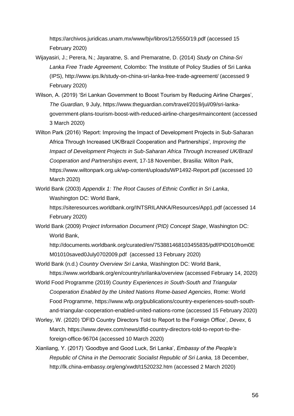<https://archivos.juridicas.unam.mx/www/bjv/libros/12/5550/19.pdf> (accessed 15 February 2020)

- Wijayasiri, J.; Perera, N.; Jayaratne, S. and Premaratne, D. (2014) *Study on China-Sri Lanka Free Trade Agreement*, Colombo: The Institute of Policy Studies of Sri Lanka (IPS), http://www.ips.lk/study-on-china-sri-lanka-free-trade-agreement/ (accessed 9 February 2020)
- Wilson, A. (2019) 'Sri Lankan Government to Boost Tourism by Reducing Airline Charges', *The Guardian*, 9 July, [https://www.theguardian.com/travel/2019/jul/09/sri-lanka](https://www.theguardian.com/travel/2019/jul/09/sri-lanka-government-plans-tourism-boost-with-reduced-airline-charges#maincontent)[government-plans-tourism-boost-with-reduced-airline-charges#maincontent](https://www.theguardian.com/travel/2019/jul/09/sri-lanka-government-plans-tourism-boost-with-reduced-airline-charges#maincontent) (accessed 3 March 2020)
- Wilton Park (2016) 'Report: Improving the Impact of Development Projects in Sub-Saharan Africa Through Increased UK/Brazil Cooperation and Partnerships'*, Improving the Impact of Development Projects in Sub-Saharan Africa Through Increased UK/Brazil Cooperation and Partnerships even*t, 17-18 November, Brasilia: Wilton Park, <https://www.wiltonpark.org.uk/wp-content/uploads/WP1492-Report.pdf> (accessed 10 March 2020)
- World Bank (2003) *Appendix 1: The Root Causes of Ethnic Conflict in Sri Lanka*, Washington DC: World Bank,

<https://siteresources.worldbank.org/INTSRILANKA/Resources/App1.pdf> (accessed 14 February 2020)

World Bank (2009) P*roject Information Document (PID) Concept Stage*, Washington DC: World Bank,

[http://documents.worldbank.org/curated/en/753881468103455835/pdf/PID010from0E](http://documents.worldbank.org/curated/en/753881468103455835/pdf/PID010from0EM01010saved0July0702009.pdf) [M01010saved0July0702009.pdf](http://documents.worldbank.org/curated/en/753881468103455835/pdf/PID010from0EM01010saved0July0702009.pdf) (accessed 13 February 2020)

- World Bank (n.d.) *Country Overview Sri Lanka*, Washington DC: World Bank, https://www.worldbank.org/en/country/srilanka/overview (accessed February 14, 2020)
- World Food Programme (2019) *Country Experiences in South-South and Triangular Cooperation Enabled by the United Nations Rome-based Agencies*, Rome: World Food Programme, [https://www.wfp.org/publications/country-experiences-south-south](https://www.wfp.org/publications/country-experiences-south-south-and-triangular-cooperation-enabled-united-nations-rome)[and-triangular-cooperation-enabled-united-nations-rome](https://www.wfp.org/publications/country-experiences-south-south-and-triangular-cooperation-enabled-united-nations-rome) (accessed 15 February 2020)
- Worley, W. (2020) 'DFID Country Directors Told to Report to the Foreign Office', *Devex*, 6 March, [https://www.devex.com/news/dfid-country-directors-told-to-report-to-the](https://www.devex.com/news/dfid-country-directors-told-to-report-to-the-foreign-office-96704)[foreign-office-96704](https://www.devex.com/news/dfid-country-directors-told-to-report-to-the-foreign-office-96704) (accessed 10 March 2020)
- Xianliang, Y. (2017) 'Goodbye and Good Luck, Sri Lanka', *Embassy of the People's Republic of China in the Democratic Socialist Republic of Sri Lanka,* 18 December, <http://lk.china-embassy.org/eng/xwdt/t1520232.htm> (accessed 2 March 2020)